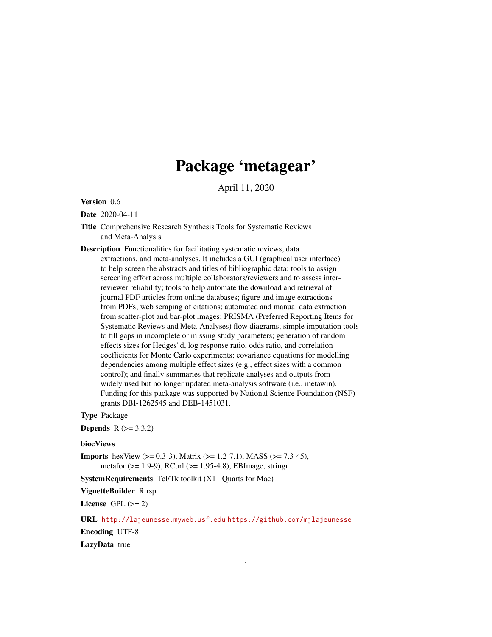# Package 'metagear'

April 11, 2020

Version 0.6

Date 2020-04-11

- Title Comprehensive Research Synthesis Tools for Systematic Reviews and Meta-Analysis
- Description Functionalities for facilitating systematic reviews, data extractions, and meta-analyses. It includes a GUI (graphical user interface) to help screen the abstracts and titles of bibliographic data; tools to assign screening effort across multiple collaborators/reviewers and to assess interreviewer reliability; tools to help automate the download and retrieval of journal PDF articles from online databases; figure and image extractions from PDFs; web scraping of citations; automated and manual data extraction from scatter-plot and bar-plot images; PRISMA (Preferred Reporting Items for Systematic Reviews and Meta-Analyses) flow diagrams; simple imputation tools to fill gaps in incomplete or missing study parameters; generation of random effects sizes for Hedges' d, log response ratio, odds ratio, and correlation coefficients for Monte Carlo experiments; covariance equations for modelling dependencies among multiple effect sizes (e.g., effect sizes with a common control); and finally summaries that replicate analyses and outputs from widely used but no longer updated meta-analysis software (i.e., metawin). Funding for this package was supported by National Science Foundation (NSF) grants DBI-1262545 and DEB-1451031.

Type Package

**Depends**  $R$  ( $> = 3.3.2$ )

#### biocViews

**Imports** hexView ( $> = 0.3-3$ ), Matrix ( $> = 1.2-7.1$ ), MASS ( $> = 7.3-45$ ), metafor (>= 1.9-9), RCurl (>= 1.95-4.8), EBImage, stringr

SystemRequirements Tcl/Tk toolkit (X11 Quarts for Mac)

VignetteBuilder R.rsp

License GPL  $(>= 2)$ 

URL <http://lajeunesse.myweb.usf.edu> <https://github.com/mjlajeunesse>

Encoding UTF-8

LazyData true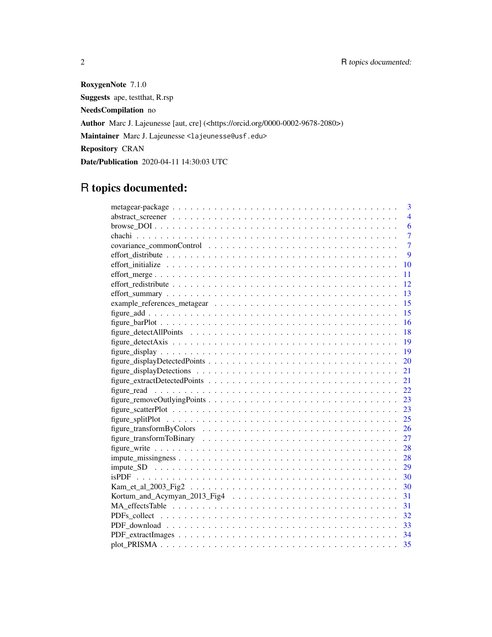RoxygenNote 7.1.0 Suggests ape, testthat, R.rsp NeedsCompilation no Author Marc J. Lajeunesse [aut, cre] (<https://orcid.org/0000-0002-9678-2080>) Maintainer Marc J. Lajeunesse <lajeunesse@usf.edu> Repository CRAN Date/Publication 2020-04-11 14:30:03 UTC

# R topics documented:

| $\overline{3}$ |
|----------------|
| $\overline{4}$ |
| 6              |
| $\overline{7}$ |
| $\overline{7}$ |
| 9              |
| 10             |
| 11             |
| 12             |
| 13             |
| 15             |
| 15             |
| 16             |
| 18             |
|                |
|                |
| 20             |
| 21             |
| 21             |
| 22             |
| 23             |
| 23             |
| 25             |
| 26             |
| 27             |
| 28             |
| 28             |
| 29             |
| 30             |
| 30             |
| 31             |
| 31             |
| 32             |
| 33             |
|                |
| 35             |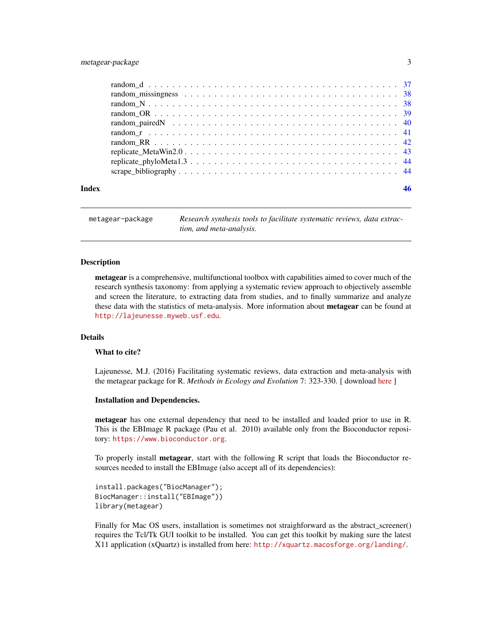# <span id="page-2-0"></span>metagear-package 3

metagear-package *Research synthesis tools to facilitate systematic reviews, data extraction, and meta-analysis.*

#### **Description**

metagear is a comprehensive, multifunctional toolbox with capabilities aimed to cover much of the research synthesis taxonomy: from applying a systematic review approach to objectively assemble and screen the literature, to extracting data from studies, and to finally summarize and analyze these data with the statistics of meta-analysis. More information about **metagear** can be found at <http://lajeunesse.myweb.usf.edu>.

# Details

#### What to cite?

Lajeunesse, M.J. (2016) Facilitating systematic reviews, data extraction and meta-analysis with the metagear package for R. *Methods in Ecology and Evolution* 7: 323-330. [ download [here](http://lajeunesse.myweb.usf.edu/papers/Lajeunesse_2016_Methods_in_Ecology_and_Evolution.pdf) ]

#### Installation and Dependencies.

metagear has one external dependency that need to be installed and loaded prior to use in R. This is the EBImage R package (Pau et al. 2010) available only from the Bioconductor repository: <https://www.bioconductor.org>.

To properly install **metagear**, start with the following R script that loads the Bioconductor resources needed to install the EBImage (also accept all of its dependencies):

install.packages("BiocManager"); BiocManager::install("EBImage")) library(metagear)

Finally for Mac OS users, installation is sometimes not straighforward as the abstract\_screener() requires the Tcl/Tk GUI toolkit to be installed. You can get this toolkit by making sure the latest X11 application (xQuartz) is installed from here: <http://xquartz.macosforge.org/landing/>.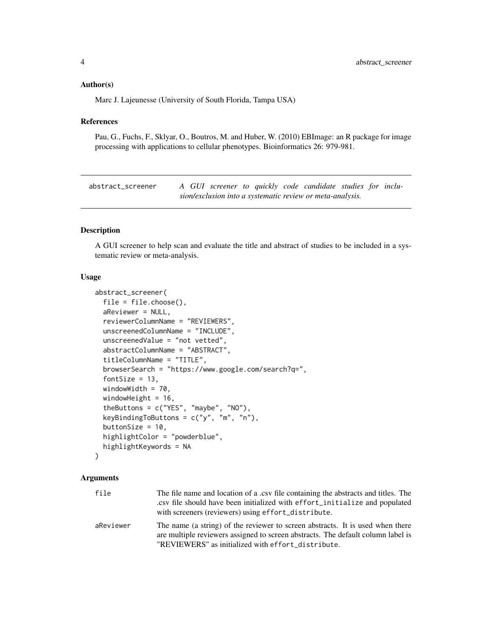#### <span id="page-3-0"></span>Author(s)

Marc J. Lajeunesse (University of South Florida, Tampa USA)

#### References

Pau, G., Fuchs, F., Sklyar, O., Boutros, M. and Huber, W. (2010) EBImage: an R package for image processing with applications to cellular phenotypes. Bioinformatics 26: 979-981.

abstract\_screener *A GUI screener to quickly code candidate studies for inclusion/exclusion into a systematic review or meta-analysis.*

# Description

A GUI screener to help scan and evaluate the title and abstract of studies to be included in a systematic review or meta-analysis.

#### Usage

```
abstract_screener(
  file = file.choose(),
  aReviewer = NULL,
  reviewerColumnName = "REVIEWERS",
  unscreenedColumnName = "INCLUDE",
  unscreenedValue = "not vetted",
  abstractColumnName = "ABSTRACT",
  titleColumnName = "TITLE",
  browserSearch = "https://www.google.com/search?q=",
  fontSize = 13,
  windowWidth = 70,
 windowHeight = 16,
  theButtons = c("YES", "maybe", "NO"),
  keyBindingToButtons = c("y", "m", "n"),
  buttonSize = 10,
  highlightColor = "powderblue",
 highlightKeywords = NA
)
```
#### Arguments

| file      | The file name and location of a .csv file containing the abstracts and titles. The<br>.csv file should have been initialized with effort_initialize and populated<br>with screeners (reviewers) using effort_distribute. |
|-----------|--------------------------------------------------------------------------------------------------------------------------------------------------------------------------------------------------------------------------|
| aReviewer | The name (a string) of the reviewer to screen abstracts. It is used when there<br>are multiple reviewers assigned to screen abstracts. The default column label is<br>"REVIEWERS" as initialized with effort_distribute. |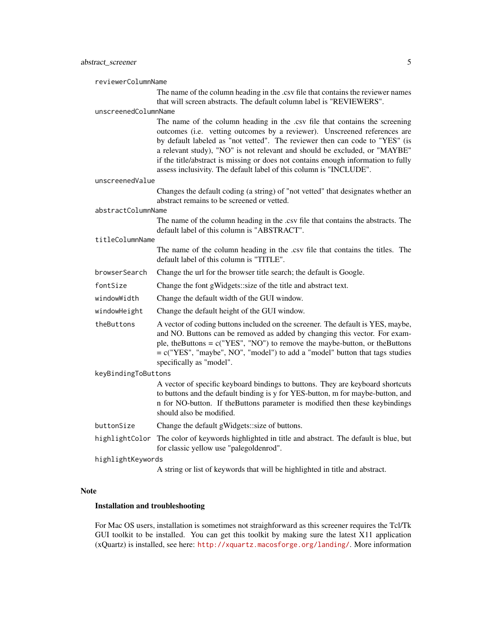reviewerColumnName

The name of the column heading in the .csv file that contains the reviewer names that will screen abstracts. The default column label is "REVIEWERS".

#### unscreenedColumnName

The name of the column heading in the .csv file that contains the screening outcomes (i.e. vetting outcomes by a reviewer). Unscreened references are by default labeled as "not vetted". The reviewer then can code to "YES" (is a relevant study), "NO" is not relevant and should be excluded, or "MAYBE" if the title/abstract is missing or does not contains enough information to fully assess inclusivity. The default label of this column is "INCLUDE".

unscreenedValue

Changes the default coding (a string) of "not vetted" that designates whether an abstract remains to be screened or vetted.

#### abstractColumnName

The name of the column heading in the .csv file that contains the abstracts. The default label of this column is "ABSTRACT".

#### titleColumnName

The name of the column heading in the .csv file that contains the titles. The default label of this column is "TITLE".

browserSearch Change the url for the browser title search; the default is Google.

fontSize Change the font gWidgets::size of the title and abstract text.

windowWidth Change the default width of the GUI window.

windowHeight Change the default height of the GUI window.

theButtons A vector of coding buttons included on the screener. The default is YES, maybe, and NO. Buttons can be removed as added by changing this vector. For example, theButtons =  $c("YES", "NO")$  to remove the maybe-button, or theButtons = c("YES", "maybe", NO", "model") to add a "model" button that tags studies specifically as "model".

#### keyBindingToButtons

A vector of specific keyboard bindings to buttons. They are keyboard shortcuts to buttons and the default binding is y for YES-button, m for maybe-button, and n for NO-button. If theButtons parameter is modified then these keybindings should also be modified.

- buttonSize Change the default gWidgets::size of buttons.
- highlightColor The color of keywords highlighted in title and abstract. The default is blue, but for classic yellow use "palegoldenrod".
- highlightKeywords

A string or list of keywords that will be highlighted in title and abstract.

#### Note

#### Installation and troubleshooting

For Mac OS users, installation is sometimes not straighforward as this screener requires the Tcl/Tk GUI toolkit to be installed. You can get this toolkit by making sure the latest X11 application (xQuartz) is installed, see here: <http://xquartz.macosforge.org/landing/>. More information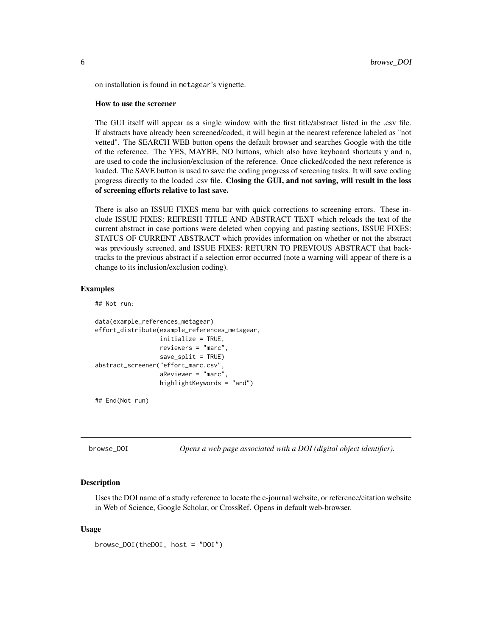<span id="page-5-0"></span>on installation is found in metagear's vignette.

#### How to use the screener

The GUI itself will appear as a single window with the first title/abstract listed in the .csv file. If abstracts have already been screened/coded, it will begin at the nearest reference labeled as "not vetted". The SEARCH WEB button opens the default browser and searches Google with the title of the reference. The YES, MAYBE, NO buttons, which also have keyboard shortcuts y and n, are used to code the inclusion/exclusion of the reference. Once clicked/coded the next reference is loaded. The SAVE button is used to save the coding progress of screening tasks. It will save coding progress directly to the loaded .csv file. Closing the GUI, and not saving, will result in the loss of screening efforts relative to last save.

There is also an ISSUE FIXES menu bar with quick corrections to screening errors. These include ISSUE FIXES: REFRESH TITLE AND ABSTRACT TEXT which reloads the text of the current abstract in case portions were deleted when copying and pasting sections, ISSUE FIXES: STATUS OF CURRENT ABSTRACT which provides information on whether or not the abstract was previously screened, and ISSUE FIXES: RETURN TO PREVIOUS ABSTRACT that backtracks to the previous abstract if a selection error occurred (note a warning will appear of there is a change to its inclusion/exclusion coding).

#### Examples

## Not run:

```
data(example_references_metagear)
effort_distribute(example_references_metagear,
                  initialize = TRUE,
                  reviewers = "marc",
                  save_split = TRUE)
abstract_screener("effort_marc.csv",
                  aReviewer = "marc",
                  highlightKeywords = "and")
```
## End(Not run)

browse\_DOI *Opens a web page associated with a DOI (digital object identifier).*

#### Description

Uses the DOI name of a study reference to locate the e-journal website, or reference/citation website in Web of Science, Google Scholar, or CrossRef. Opens in default web-browser.

#### Usage

browse\_DOI(theDOI, host = "DOI")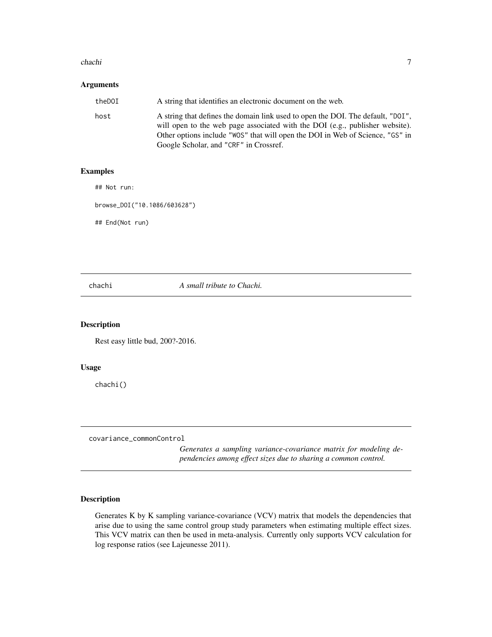#### <span id="page-6-0"></span>chachi 7 ann ann an t-Iomraid ann an t-Iomraid ann an t-Iomraid ann an t-Iomraid ann an 17

### Arguments

| theDOI | A string that identifies an electronic document on the web.                                                                                                                                                                                                                                |
|--------|--------------------------------------------------------------------------------------------------------------------------------------------------------------------------------------------------------------------------------------------------------------------------------------------|
| host   | A string that defines the domain link used to open the DOI. The default, "DOI",<br>will open to the web page associated with the DOI (e.g., publisher website).<br>Other options include "WOS" that will open the DOI in Web of Science, "GS" in<br>Google Scholar, and "CRF" in Crossref. |

# Examples

## Not run:

browse\_DOI("10.1086/603628")

## End(Not run)

chachi *A small tribute to Chachi.*

# Description

Rest easy little bud, 200?-2016.

#### Usage

chachi()

covariance\_commonControl

*Generates a sampling variance-covariance matrix for modeling dependencies among effect sizes due to sharing a common control.*

# Description

Generates K by K sampling variance-covariance (VCV) matrix that models the dependencies that arise due to using the same control group study parameters when estimating multiple effect sizes. This VCV matrix can then be used in meta-analysis. Currently only supports VCV calculation for log response ratios (see Lajeunesse 2011).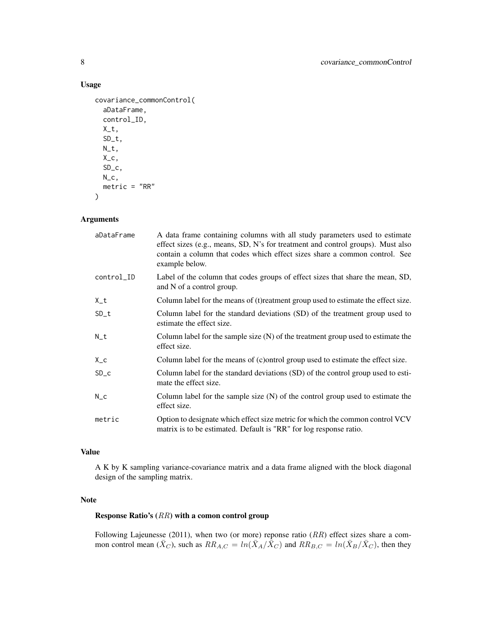# Usage

```
covariance_commonControl(
  aDataFrame,
  control_ID,
 X_t,
  SD_t,
 N_t,
 X_{-}c,
  SD_c,
 N_{C},
 metric = "RR"
```
)

# Arguments

| aDataFrame | A data frame containing columns with all study parameters used to estimate<br>effect sizes (e.g., means, SD, N's for treatment and control groups). Must also<br>contain a column that codes which effect sizes share a common control. See<br>example below. |
|------------|---------------------------------------------------------------------------------------------------------------------------------------------------------------------------------------------------------------------------------------------------------------|
| control_ID | Label of the column that codes groups of effect sizes that share the mean, SD,<br>and N of a control group.                                                                                                                                                   |
| $X_t$      | Column label for the means of (t) reatment group used to estimate the effect size.                                                                                                                                                                            |
| $SD_t$     | Column label for the standard deviations (SD) of the treatment group used to<br>estimate the effect size.                                                                                                                                                     |
| $N_t$      | Column label for the sample size $(N)$ of the treatment group used to estimate the<br>effect size.                                                                                                                                                            |
| $X_{-}c$   | Column label for the means of (c) ontrol group used to estimate the effect size.                                                                                                                                                                              |
| $SD\_c$    | Column label for the standard deviations (SD) of the control group used to esti-<br>mate the effect size.                                                                                                                                                     |
| $N_{C}$    | Column label for the sample size $(N)$ of the control group used to estimate the<br>effect size.                                                                                                                                                              |
| metric     | Option to designate which effect size metric for which the common control VCV<br>matrix is to be estimated. Default is "RR" for log response ratio.                                                                                                           |

# Value

A K by K sampling variance-covariance matrix and a data frame aligned with the block diagonal design of the sampling matrix.

# Note

# Response Ratio's (RR) with a comon control group

Following Lajeunesse (2011), when two (or more) reponse ratio  $(RR)$  effect sizes share a common control mean  $(\bar{X}_C)$ , such as  $RR_{A,C} = ln(\bar{X}_A/\bar{\bar{X}}_C)$  and  $RR_{B,C} = ln(\bar{X}_B/\bar{X}_C)$ , then they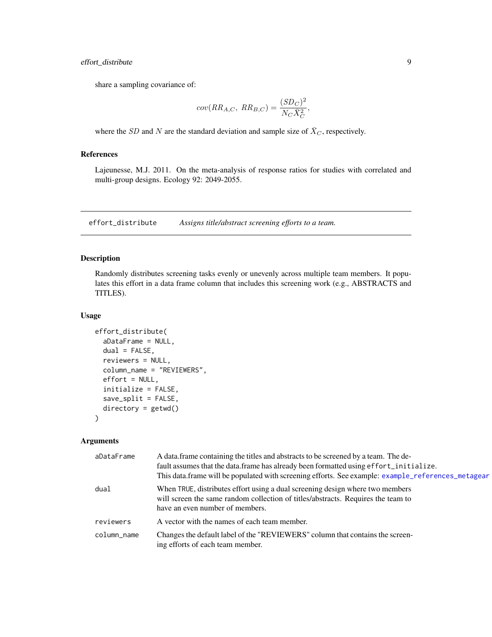# <span id="page-8-0"></span>effort\_distribute 9

share a sampling covariance of:

$$
cov(RR_{A,C}, RR_{B,C}) = \frac{(SD_C)^2}{N_C \bar{X}_C^2},
$$

where the SD and N are the standard deviation and sample size of  $\bar{X}_C$ , respectively.

### References

Lajeunesse, M.J. 2011. On the meta-analysis of response ratios for studies with correlated and multi-group designs. Ecology 92: 2049-2055.

<span id="page-8-1"></span>effort\_distribute *Assigns title/abstract screening efforts to a team.*

#### Description

Randomly distributes screening tasks evenly or unevenly across multiple team members. It populates this effort in a data frame column that includes this screening work (e.g., ABSTRACTS and TITLES).

#### Usage

```
effort_distribute(
 aDataFrame = NULL,
 dual = FALSE,reviewers = NULL,
  column_name = "REVIEWERS",
  effort = NULL,initialize = FALSE,
  save_split = FALSE,
  directory = getwd())
```
#### Arguments

| aDataFrame  | A data frame containing the titles and abstracts to be screened by a team. The de-<br>fault assumes that the data.frame has already been formatted using effort_initialize.<br>This data.frame will be populated with screening efforts. See example: example_references_metagear |
|-------------|-----------------------------------------------------------------------------------------------------------------------------------------------------------------------------------------------------------------------------------------------------------------------------------|
| dual        | When TRUE, distributes effort using a dual screening design where two members<br>will screen the same random collection of titles/abstracts. Requires the team to<br>have an even number of members.                                                                              |
| reviewers   | A vector with the names of each team member.                                                                                                                                                                                                                                      |
| column_name | Changes the default label of the "REVIEWERS" column that contains the screen-<br>ing efforts of each team member.                                                                                                                                                                 |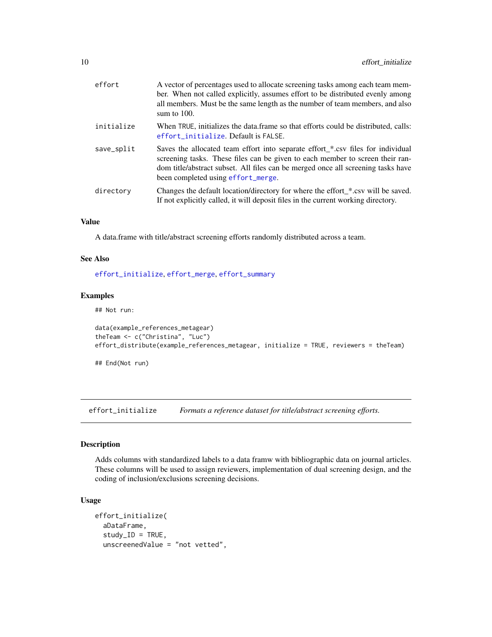<span id="page-9-0"></span>

| effort     | A vector of percentages used to allocate screening tasks among each team mem-<br>ber. When not called explicitly, assumes effort to be distributed evenly among<br>all members. Must be the same length as the number of team members, and also<br>sum to $100$ .                          |
|------------|--------------------------------------------------------------------------------------------------------------------------------------------------------------------------------------------------------------------------------------------------------------------------------------------|
| initialize | When TRUE, initializes the data frame so that efforts could be distributed, calls:<br>effort_initialize. Default is FALSE.                                                                                                                                                                 |
| save_split | Saves the allocated team effort into separate effort_*.csv files for individual<br>screening tasks. These files can be given to each member to screen their ran-<br>dom title/abstract subset. All files can be merged once all screening tasks have<br>been completed using effort_merge. |
| directory  | Changes the default location/directory for where the effort_*.csv will be saved.<br>If not explicitly called, it will deposit files in the current working directory.                                                                                                                      |

# Value

A data.frame with title/abstract screening efforts randomly distributed across a team.

#### See Also

[effort\\_initialize](#page-9-1), [effort\\_merge](#page-10-1), [effort\\_summary](#page-12-1)

#### Examples

## Not run:

```
data(example_references_metagear)
theTeam <- c("Christina", "Luc")
effort_distribute(example_references_metagear, initialize = TRUE, reviewers = theTeam)
```
## End(Not run)

<span id="page-9-1"></span>effort\_initialize *Formats a reference dataset for title/abstract screening efforts.*

#### Description

Adds columns with standardized labels to a data framw with bibliographic data on journal articles. These columns will be used to assign reviewers, implementation of dual screening design, and the coding of inclusion/exclusions screening decisions.

```
effort_initialize(
  aDataFrame,
  study\_ID = TRUE,unscreenedValue = "not vetted",
```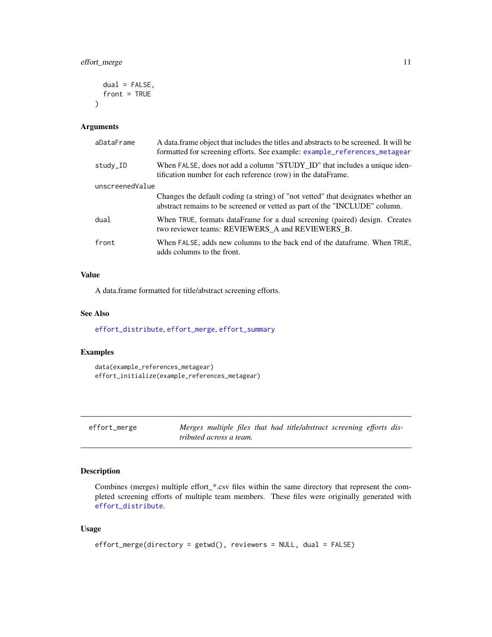```
dual = FALSE,front = TRUE
\lambda
```

| aDataFrame      | A data frame object that includes the titles and abstracts to be screened. It will be<br>formatted for screening efforts. See example: example_references_metagear |  |
|-----------------|--------------------------------------------------------------------------------------------------------------------------------------------------------------------|--|
| study_ID        | When FALSE, does not add a column "STUDY_ID" that includes a unique iden-<br>tification number for each reference (row) in the dataFrame.                          |  |
| unscreenedValue |                                                                                                                                                                    |  |
|                 | Changes the default coding (a string) of "not vetted" that designates whether an<br>abstract remains to be screened or vetted as part of the "INCLUDE" column.     |  |
| dual            | When TRUE, formats dataFrame for a dual screening (paired) design. Creates<br>two reviewer teams: REVIEWERS A and REVIEWERS B.                                     |  |
| front           | When FALSE, adds new columns to the back end of the dataframe. When TRUE,<br>adds columns to the front.                                                            |  |

# Value

A data.frame formatted for title/abstract screening efforts.

#### See Also

[effort\\_distribute](#page-8-1), [effort\\_merge](#page-10-1), [effort\\_summary](#page-12-1)

#### Examples

```
data(example_references_metagear)
effort_initialize(example_references_metagear)
```
<span id="page-10-1"></span>effort\_merge *Merges multiple files that had title/abstract screening efforts distributed across a team.*

# Description

Combines (merges) multiple effort\_\*.csv files within the same directory that represent the completed screening efforts of multiple team members. These files were originally generated with [effort\\_distribute](#page-8-1).

```
effort_merge(directory = getwd(), reviewers = NULL, dual = FALSE)
```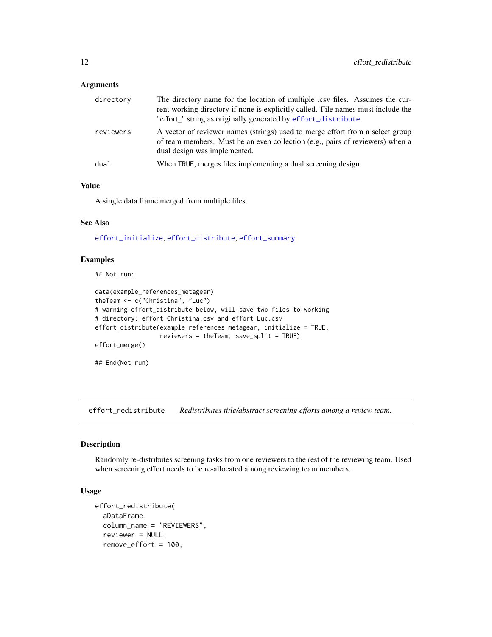<span id="page-11-0"></span>

| directory | The directory name for the location of multiple .csv files. Assumes the cur-<br>rent working directory if none is explicitly called. File names must include the<br>"effort_" string as originally generated by effort_distribute. |
|-----------|------------------------------------------------------------------------------------------------------------------------------------------------------------------------------------------------------------------------------------|
| reviewers | A vector of reviewer names (strings) used to merge effort from a select group<br>of team members. Must be an even collection (e.g., pairs of reviewers) when a<br>dual design was implemented.                                     |
| dual      | When TRUE, merges files implementing a dual screening design.                                                                                                                                                                      |

## Value

A single data.frame merged from multiple files.

#### See Also

[effort\\_initialize](#page-9-1), [effort\\_distribute](#page-8-1), [effort\\_summary](#page-12-1)

#### Examples

## Not run:

```
data(example_references_metagear)
theTeam <- c("Christina", "Luc")
# warning effort_distribute below, will save two files to working
# directory: effort_Christina.csv and effort_Luc.csv
effort_distribute(example_references_metagear, initialize = TRUE,
                  reviewers = theTeam, save_split = TRUE)
effort_merge()
## End(Not run)
```
effort\_redistribute *Redistributes title/abstract screening efforts among a review team.*

#### Description

Randomly re-distributes screening tasks from one reviewers to the rest of the reviewing team. Used when screening effort needs to be re-allocated among reviewing team members.

```
effort_redistribute(
  aDataFrame,
  column_name = "REVIEWERS",
  reviewer = NULL,
  remove_effort = 100,
```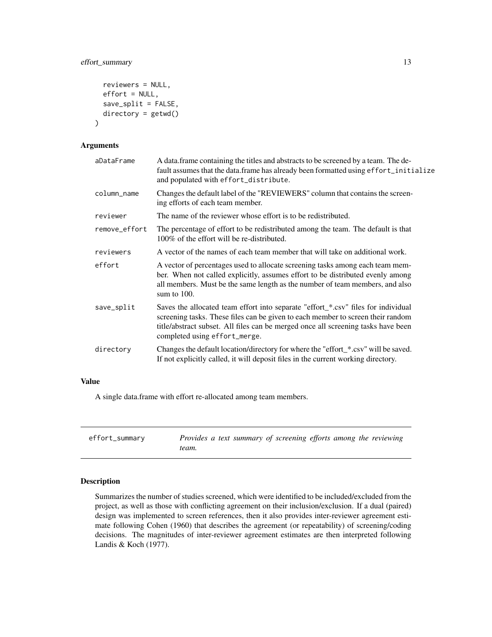```
reviewers = NULL,
effort = NULL,
save_split = FALSE,
directory = getwd()
```
)

| aDataFrame    | A data frame containing the titles and abstracts to be screened by a team. The de-<br>fault assumes that the data.frame has already been formatted using effort_initialize<br>and populated with effort_distribute.                                                                        |
|---------------|--------------------------------------------------------------------------------------------------------------------------------------------------------------------------------------------------------------------------------------------------------------------------------------------|
| column_name   | Changes the default label of the "REVIEWERS" column that contains the screen-<br>ing efforts of each team member.                                                                                                                                                                          |
| reviewer      | The name of the reviewer whose effort is to be redistributed.                                                                                                                                                                                                                              |
| remove_effort | The percentage of effort to be redistributed among the team. The default is that<br>100% of the effort will be re-distributed.                                                                                                                                                             |
| reviewers     | A vector of the names of each team member that will take on additional work.                                                                                                                                                                                                               |
| effort        | A vector of percentages used to allocate screening tasks among each team mem-<br>ber. When not called explicitly, assumes effort to be distributed evenly among<br>all members. Must be the same length as the number of team members, and also<br>sum to $100$ .                          |
| save_split    | Saves the allocated team effort into separate "effort_*.csv" files for individual<br>screening tasks. These files can be given to each member to screen their random<br>title/abstract subset. All files can be merged once all screening tasks have been<br>completed using effort_merge. |
| directory     | Changes the default location/directory for where the "effort_*.csv" will be saved.<br>If not explicitly called, it will deposit files in the current working directory.                                                                                                                    |
|               |                                                                                                                                                                                                                                                                                            |

# Value

A single data.frame with effort re-allocated among team members.

<span id="page-12-1"></span>effort\_summary *Provides a text summary of screening efforts among the reviewing team.*

#### Description

Summarizes the number of studies screened, which were identified to be included/excluded from the project, as well as those with conflicting agreement on their inclusion/exclusion. If a dual (paired) design was implemented to screen references, then it also provides inter-reviewer agreement estimate following Cohen (1960) that describes the agreement (or repeatability) of screening/coding decisions. The magnitudes of inter-reviewer agreement estimates are then interpreted following Landis & Koch (1977).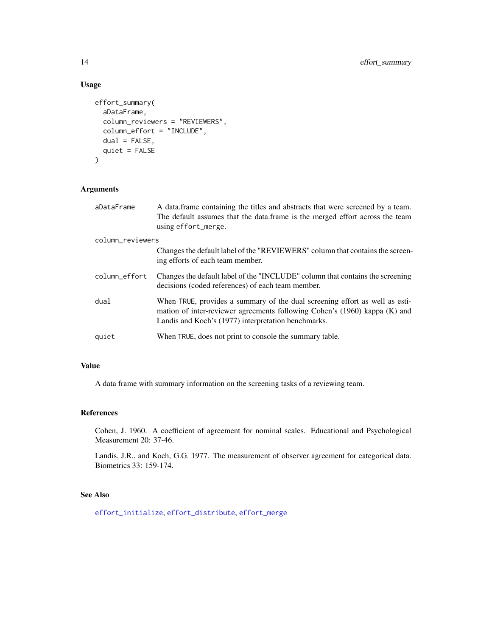# Usage

```
effort_summary(
 aDataFrame,
 column_reviewers = "REVIEWERS",
  column_effort = "INCLUDE",
  dual = FALSE,quiet = FALSE)
```
# Arguments

| aDataFrame       | A data frame containing the titles and abstracts that were screened by a team.<br>The default assumes that the data.frame is the merged effort across the team<br>using effort_merge.                            |
|------------------|------------------------------------------------------------------------------------------------------------------------------------------------------------------------------------------------------------------|
| column_reviewers |                                                                                                                                                                                                                  |
|                  | Changes the default label of the "REVIEWERS" column that contains the screen-<br>ing efforts of each team member.                                                                                                |
| column_effort    | Changes the default label of the "INCLUDE" column that contains the screening<br>decisions (coded references) of each team member.                                                                               |
| dual             | When TRUE, provides a summary of the dual screening effort as well as esti-<br>mation of inter-reviewer agreements following Cohen's (1960) kappa (K) and<br>Landis and Koch's (1977) interpretation benchmarks. |
| quiet            | When TRUE, does not print to console the summary table.                                                                                                                                                          |

#### Value

A data frame with summary information on the screening tasks of a reviewing team.

# References

Cohen, J. 1960. A coefficient of agreement for nominal scales. Educational and Psychological Measurement 20: 37-46.

Landis, J.R., and Koch, G.G. 1977. The measurement of observer agreement for categorical data. Biometrics 33: 159-174.

#### See Also

[effort\\_initialize](#page-9-1), [effort\\_distribute](#page-8-1), [effort\\_merge](#page-10-1)

<span id="page-13-0"></span>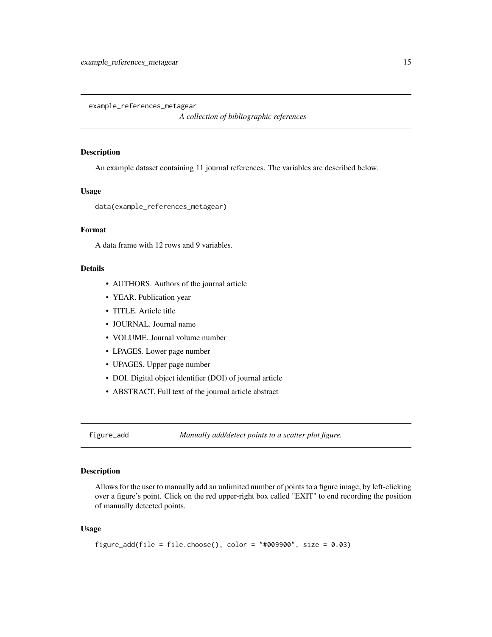<span id="page-14-1"></span><span id="page-14-0"></span>example\_references\_metagear

*A collection of bibliographic references*

#### Description

An example dataset containing 11 journal references. The variables are described below.

#### Usage

data(example\_references\_metagear)

# Format

A data frame with 12 rows and 9 variables.

# **Details**

- AUTHORS. Authors of the journal article
- YEAR. Publication year
- TITLE. Article title
- JOURNAL. Journal name
- VOLUME. Journal volume number
- LPAGES. Lower page number
- UPAGES. Upper page number
- DOI. Digital object identifier (DOI) of journal article
- ABSTRACT. Full text of the journal article abstract

figure\_add *Manually add/detect points to a scatter plot figure.*

#### Description

Allows for the user to manually add an unlimited number of points to a figure image, by left-clicking over a figure's point. Click on the red upper-right box called "EXIT" to end recording the position of manually detected points.

```
figure_add(file = file.choose(), color = "#009900", size = 0.03)
```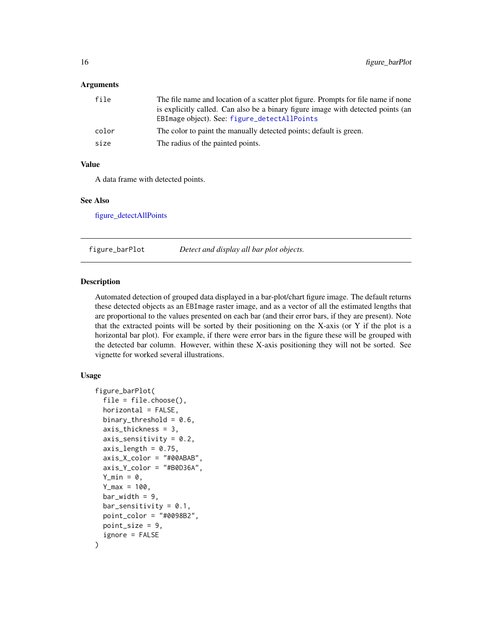<span id="page-15-0"></span>

| file  | The file name and location of a scatter plot figure. Prompts for file name if none<br>is explicitly called. Can also be a binary figure image with detected points (an<br>EBImage object). See: figure_detectAllPoints |
|-------|------------------------------------------------------------------------------------------------------------------------------------------------------------------------------------------------------------------------|
| color | The color to paint the manually detected points; default is green.                                                                                                                                                     |
| size  | The radius of the painted points.                                                                                                                                                                                      |

# Value

A data frame with detected points.

#### See Also

[figure\\_detectAllPoints](#page-17-1)

figure\_barPlot *Detect and display all bar plot objects.*

#### Description

Automated detection of grouped data displayed in a bar-plot/chart figure image. The default returns these detected objects as an EBImage raster image, and as a vector of all the estimated lengths that are proportional to the values presented on each bar (and their error bars, if they are present). Note that the extracted points will be sorted by their positioning on the X-axis (or Y if the plot is a horizontal bar plot). For example, if there were error bars in the figure these will be grouped with the detected bar column. However, within these X-axis positioning they will not be sorted. See vignette for worked several illustrations.

```
figure_barPlot(
  file = file.choose(),
  horizontal = FALSE,binary_threshold = 0.6,
  axis_thickness = 3,
  axis_sensitivity = 0.2,
  axis_length = 0.75,
  axis_X_color = "#00ABAB",
  axis_Y_color = "#B0D36A",
  Y_{\text{min}} = \emptyset,
  Y_{max} = 100,
  bar_wwidth = 9,
  bar_sensitivity = 0.1,
  point\_color = "#0098B2".point_size = 9,
  ignore = FALSE
)
```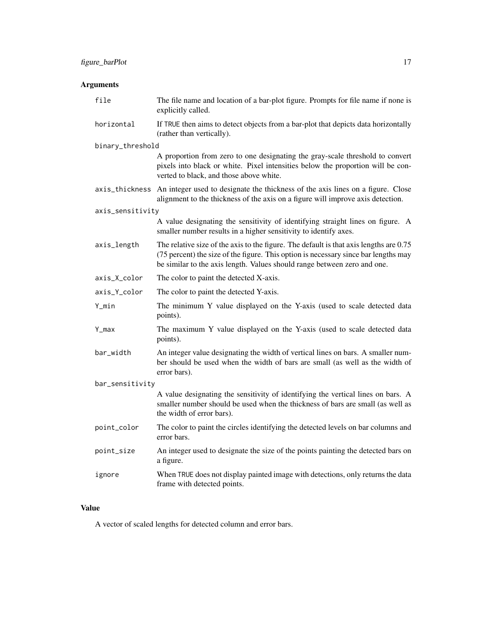| file             | The file name and location of a bar-plot figure. Prompts for file name if none is<br>explicitly called.                                                                                                                                                   |
|------------------|-----------------------------------------------------------------------------------------------------------------------------------------------------------------------------------------------------------------------------------------------------------|
| horizontal       | If TRUE then aims to detect objects from a bar-plot that depicts data horizontally<br>(rather than vertically).                                                                                                                                           |
| binary_threshold |                                                                                                                                                                                                                                                           |
|                  | A proportion from zero to one designating the gray-scale threshold to convert<br>pixels into black or white. Pixel intensities below the proportion will be con-<br>verted to black, and those above white.                                               |
|                  | axis_thickness An integer used to designate the thickness of the axis lines on a figure. Close<br>alignment to the thickness of the axis on a figure will improve axis detection.                                                                         |
| axis_sensitivity |                                                                                                                                                                                                                                                           |
|                  | A value designating the sensitivity of identifying straight lines on figure. A<br>smaller number results in a higher sensitivity to identify axes.                                                                                                        |
| axis_length      | The relative size of the axis to the figure. The default is that axis lengths are 0.75<br>(75 percent) the size of the figure. This option is necessary since bar lengths may<br>be similar to the axis length. Values should range between zero and one. |
| axis_X_color     | The color to paint the detected X-axis.                                                                                                                                                                                                                   |
| axis_Y_color     | The color to paint the detected Y-axis.                                                                                                                                                                                                                   |
| Y_min            | The minimum Y value displayed on the Y-axis (used to scale detected data<br>points).                                                                                                                                                                      |
| Y_max            | The maximum Y value displayed on the Y-axis (used to scale detected data<br>points).                                                                                                                                                                      |
| bar_width        | An integer value designating the width of vertical lines on bars. A smaller num-<br>ber should be used when the width of bars are small (as well as the width of<br>error bars).                                                                          |
| bar_sensitivity  |                                                                                                                                                                                                                                                           |
|                  | A value designating the sensitivity of identifying the vertical lines on bars. A<br>smaller number should be used when the thickness of bars are small (as well as<br>the width of error bars).                                                           |
| point_color      | The color to paint the circles identifying the detected levels on bar columns and<br>error bars.                                                                                                                                                          |
| point_size       | An integer used to designate the size of the points painting the detected bars on<br>a figure.                                                                                                                                                            |
| ignore           | When TRUE does not display painted image with detections, only returns the data<br>frame with detected points.                                                                                                                                            |

# Value

A vector of scaled lengths for detected column and error bars.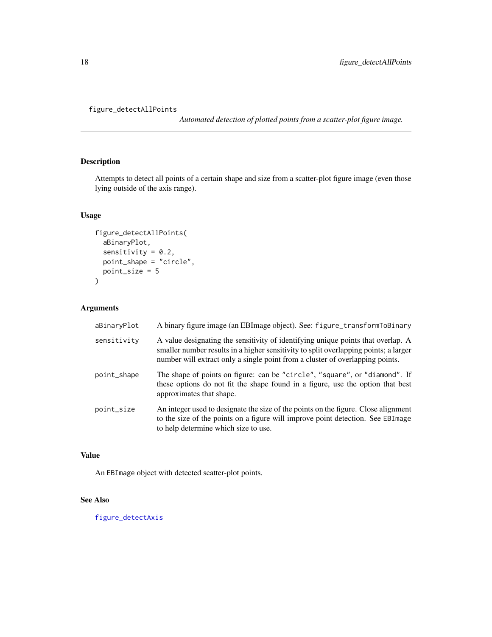```
figure_detectAllPoints
```
*Automated detection of plotted points from a scatter-plot figure image.*

# Description

Attempts to detect all points of a certain shape and size from a scatter-plot figure image (even those lying outside of the axis range).

# Usage

```
figure_detectAllPoints(
  aBinaryPlot,
  sensitivity = 0.2,
  point_shape = "circle",
  point_size = 5
\mathcal{L}
```
# Arguments

| aBinaryPlot | A binary figure image (an EBImage object). See: figure_transformToBinary                                                                                                                                                                                  |
|-------------|-----------------------------------------------------------------------------------------------------------------------------------------------------------------------------------------------------------------------------------------------------------|
| sensitivity | A value designating the sensitivity of identifying unique points that overlap. A<br>smaller number results in a higher sensitivity to split overlapping points; a larger<br>number will extract only a single point from a cluster of overlapping points. |
| point_shape | The shape of points on figure: can be "circle", "square", or "diamond". If<br>these options do not fit the shape found in a figure, use the option that best<br>approximates that shape.                                                                  |
| point_size  | An integer used to designate the size of the points on the figure. Close alignment<br>to the size of the points on a figure will improve point detection. See EBImage<br>to help determine which size to use.                                             |

# Value

An EBImage object with detected scatter-plot points.

# See Also

[figure\\_detectAxis](#page-18-1)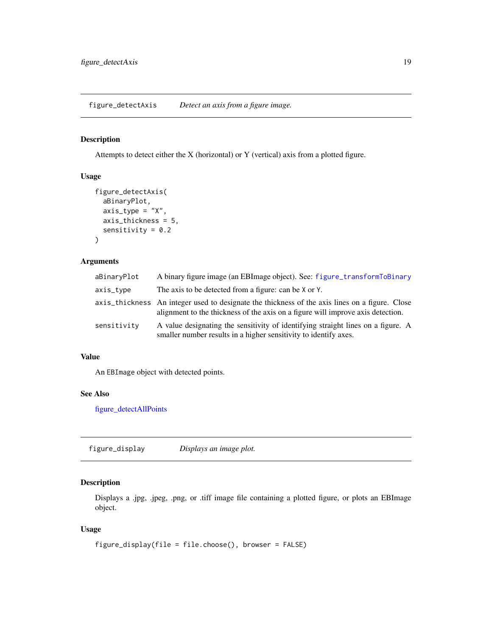<span id="page-18-1"></span><span id="page-18-0"></span>figure\_detectAxis *Detect an axis from a figure image.*

# Description

Attempts to detect either the X (horizontal) or Y (vertical) axis from a plotted figure.

# Usage

```
figure_detectAxis(
  aBinaryPlot,
 axis_type = "X",axis_thickness = 5,
  sensitivity = 0.2)
```
# Arguments

| aBinaryPlot | A binary figure image (an EBImage object). See: figure_transformToBinary                                                                                                          |
|-------------|-----------------------------------------------------------------------------------------------------------------------------------------------------------------------------------|
| axis_type   | The axis to be detected from a figure: can be X or Y.                                                                                                                             |
|             | axis_thickness An integer used to designate the thickness of the axis lines on a figure. Close<br>alignment to the thickness of the axis on a figure will improve axis detection. |
| sensitivity | A value designating the sensitivity of identifying straight lines on a figure. A<br>smaller number results in a higher sensitivity to identify axes.                              |

#### Value

An EBImage object with detected points.

# See Also

[figure\\_detectAllPoints](#page-17-1)

figure\_display *Displays an image plot.*

# Description

Displays a .jpg, .jpeg, .png, or .tiff image file containing a plotted figure, or plots an EBImage object.

```
figure_display(file = file.choose(), browser = FALSE)
```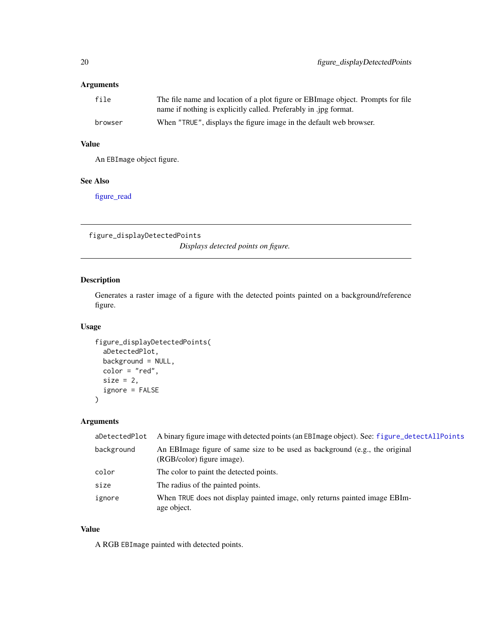<span id="page-19-0"></span>

| file    | The file name and location of a plot figure or EBI mage object. Prompts for file |
|---------|----------------------------------------------------------------------------------|
|         | name if nothing is explicitly called. Preferably in .jpg format.                 |
| browser | When "TRUE", displays the figure image in the default web browser.               |

# Value

An EBImage object figure.

# See Also

[figure\\_read](#page-21-1)

figure\_displayDetectedPoints *Displays detected points on figure.*

# Description

Generates a raster image of a figure with the detected points painted on a background/reference figure.

# Usage

```
figure_displayDetectedPoints(
  aDetectedPlot,
 background = NULL,
  color = "red",
  size = 2,
  ignore = FALSE
)
```
#### Arguments

| aDetectedPlot | A binary figure image with detected points (an EBI mage object). See: figure_detectAllPoints              |
|---------------|-----------------------------------------------------------------------------------------------------------|
| background    | An EBImage figure of same size to be used as background (e.g., the original<br>(RGB/color) figure image). |
| color         | The color to paint the detected points.                                                                   |
| size          | The radius of the painted points.                                                                         |
| ignore        | When TRUE does not display painted image, only returns painted image EBIm-<br>age object.                 |

# Value

A RGB EBImage painted with detected points.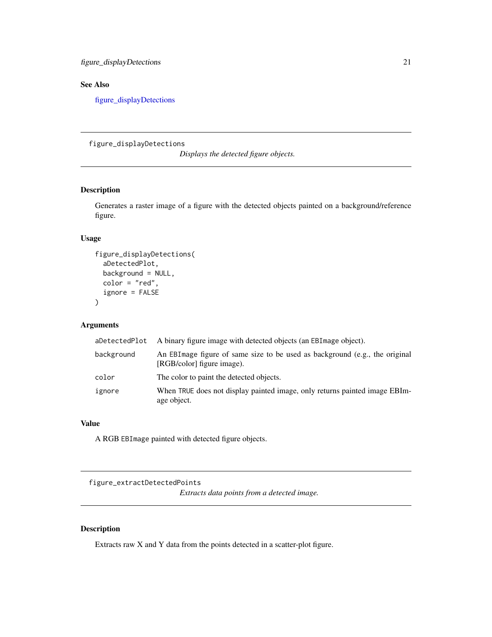<span id="page-20-0"></span>figure\_displayDetections 21

# See Also

[figure\\_displayDetections](#page-20-1)

<span id="page-20-1"></span>figure\_displayDetections

*Displays the detected figure objects.*

# Description

Generates a raster image of a figure with the detected objects painted on a background/reference figure.

# Usage

```
figure_displayDetections(
  aDetectedPlot,
  background = NULL,
  color = "red",
  ignore = FALSE
\mathcal{L}
```
# Arguments

| aDetectedPlot | A binary figure image with detected objects (an EBI mage object).                                          |
|---------------|------------------------------------------------------------------------------------------------------------|
| background    | An EBI mage figure of same size to be used as background (e.g., the original<br>[RGB/color] figure image). |
| color         | The color to paint the detected objects.                                                                   |
| ignore        | When TRUE does not display painted image, only returns painted image EBIm-<br>age object.                  |

# Value

A RGB EBImage painted with detected figure objects.

figure\_extractDetectedPoints

*Extracts data points from a detected image.*

# Description

Extracts raw X and Y data from the points detected in a scatter-plot figure.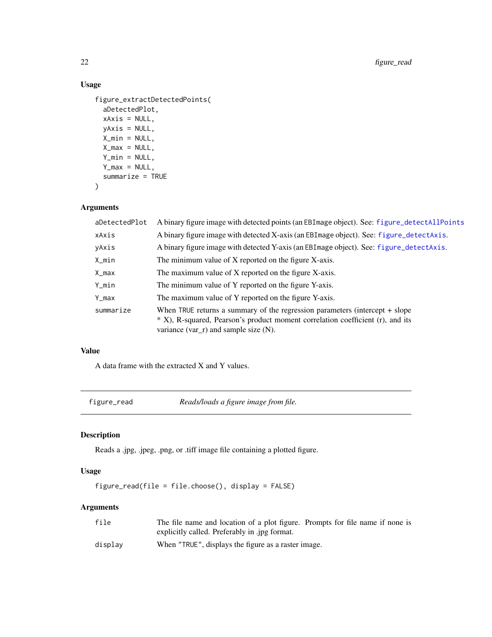# Usage

```
figure_extractDetectedPoints(
 aDetectedPlot,
 xAxis = NULL,
 yAxis = NULL,
 X_min = NULL,
 X_max = NULL,
 Y_min = NULL,
 Y_max = NULL,summarize = TRUE
```

```
\mathcal{L}
```
# Arguments

| A binary figure image with detected points (an EBI mage object). See: figure_detectAllPoints                                                                                                                  |
|---------------------------------------------------------------------------------------------------------------------------------------------------------------------------------------------------------------|
| A binary figure image with detected X-axis (an EBI mage object). See: figure_detect Axis.                                                                                                                     |
| A binary figure image with detected Y-axis (an EBI mage object). See: figure_detect Axis.                                                                                                                     |
| The minimum value of X reported on the figure X-axis.                                                                                                                                                         |
| The maximum value of X reported on the figure X-axis.                                                                                                                                                         |
| The minimum value of Y reported on the figure Y-axis.                                                                                                                                                         |
| The maximum value of Y reported on the figure Y-axis.                                                                                                                                                         |
| When TRUE returns a summary of the regression parameters (intercept $+$ slope<br>* X), R-squared, Pearson's product moment correlation coefficient (r), and its<br>variance $(var_r)$ and sample size $(N)$ . |
|                                                                                                                                                                                                               |

# Value

A data frame with the extracted X and Y values.

<span id="page-21-1"></span>figure\_read *Reads/loads a figure image from file.*

# Description

Reads a .jpg, .jpeg, .png, or .tiff image file containing a plotted figure.

# Usage

figure\_read(file = file.choose(), display = FALSE)

# Arguments

| file    | The file name and location of a plot figure. Prompts for file name if none is |
|---------|-------------------------------------------------------------------------------|
|         | explicitly called. Preferably in .jpg format.                                 |
| display | When "TRUE", displays the figure as a raster image.                           |

<span id="page-21-0"></span>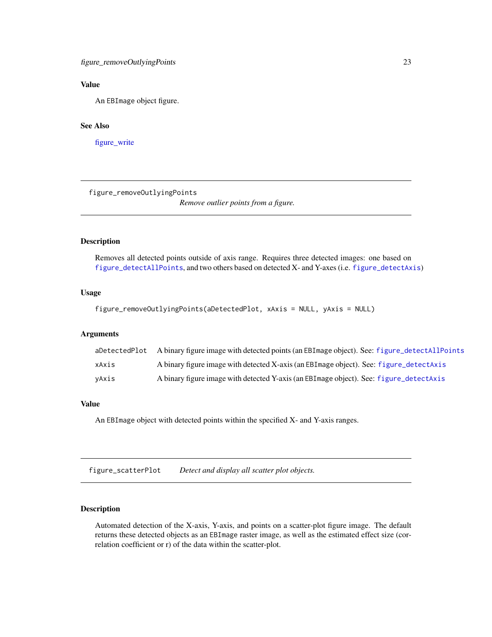# <span id="page-22-0"></span>Value

An EBImage object figure.

# See Also

[figure\\_write](#page-27-1)

figure\_removeOutlyingPoints

*Remove outlier points from a figure.*

#### Description

Removes all detected points outside of axis range. Requires three detected images: one based on [figure\\_detectAllPoints](#page-17-1), and two others based on detected X- and Y-axes (i.e. [figure\\_detectAxis](#page-18-1))

# Usage

```
figure_removeOutlyingPoints(aDetectedPlot, xAxis = NULL, yAxis = NULL)
```
# Arguments

| aDetectedPlot | A binary figure image with detected points (an EBI mage object). See: figure_detectAllPoints |
|---------------|----------------------------------------------------------------------------------------------|
| xAxis         | A binary figure image with detected X-axis (an EBI mage object). See: figure_detect Axis     |
| vAxis         | A binary figure image with detected Y-axis (an EBI mage object). See: figure_detect Axis     |

#### Value

An EBImage object with detected points within the specified X- and Y-axis ranges.

figure\_scatterPlot *Detect and display all scatter plot objects.*

#### Description

Automated detection of the X-axis, Y-axis, and points on a scatter-plot figure image. The default returns these detected objects as an EBImage raster image, as well as the estimated effect size (correlation coefficient or r) of the data within the scatter-plot.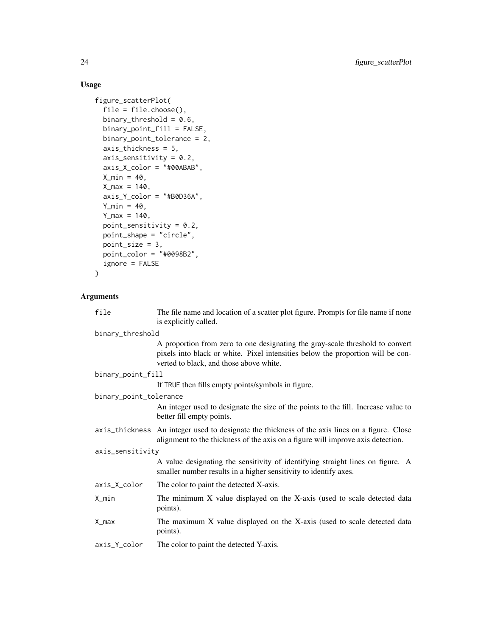# Usage

```
figure_scatterPlot(
 file = file.choose(),
 binary_threshold = 0.6,
 binary_point_fill = FALSE,
 binary_point_tolerance = 2,
  axis_thickness = 5,
  axis_sensitivity = 0.2,
  axis_X_color = "#00ABAB",
 X_{min} = 40,X_{max} = 140,
  axis_Y_color = "#B0D36A",
 Y_min = 40,
 Y_{max} = 140,
 point_sensitivity = 0.2,
 point_shape = "circle",
 point_size = 3,
 point_color = "#0098B2",
  ignore = FALSE
\mathcal{L}
```
# Arguments

| file                   | The file name and location of a scatter plot figure. Prompts for file name if none<br>is explicitly called.                                                                                                 |
|------------------------|-------------------------------------------------------------------------------------------------------------------------------------------------------------------------------------------------------------|
| binary_threshold       |                                                                                                                                                                                                             |
|                        | A proportion from zero to one designating the gray-scale threshold to convert<br>pixels into black or white. Pixel intensities below the proportion will be con-<br>verted to black, and those above white. |
| binary_point_fill      |                                                                                                                                                                                                             |
|                        | If TRUE then fills empty points/symbols in figure.                                                                                                                                                          |
| binary_point_tolerance |                                                                                                                                                                                                             |
|                        | An integer used to designate the size of the points to the fill. Increase value to<br>better fill empty points.                                                                                             |
|                        | axis_thickness An integer used to designate the thickness of the axis lines on a figure. Close<br>alignment to the thickness of the axis on a figure will improve axis detection.                           |
| axis_sensitivity       |                                                                                                                                                                                                             |
|                        | A value designating the sensitivity of identifying straight lines on figure. A<br>smaller number results in a higher sensitivity to identify axes.                                                          |
| axis_X_color           | The color to paint the detected X-axis.                                                                                                                                                                     |
| $X_{min}$              | The minimum X value displayed on the X-axis (used to scale detected data<br>points).                                                                                                                        |
| X_max                  | The maximum X value displayed on the X-axis (used to scale detected data<br>points).                                                                                                                        |
| axis_Y_color           | The color to paint the detected Y-axis.                                                                                                                                                                     |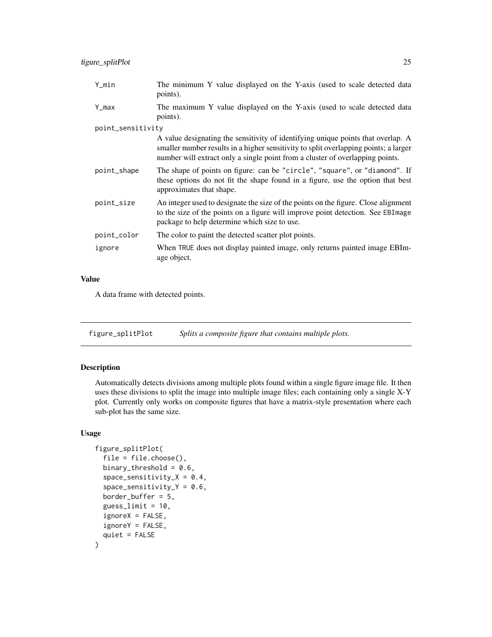<span id="page-24-0"></span>

| Y_min             | The minimum Y value displayed on the Y-axis (used to scale detected data<br>points).                                                                                                                                                                      |
|-------------------|-----------------------------------------------------------------------------------------------------------------------------------------------------------------------------------------------------------------------------------------------------------|
| Y_max             | The maximum Y value displayed on the Y-axis (used to scale detected data<br>points).                                                                                                                                                                      |
| point_sensitivity |                                                                                                                                                                                                                                                           |
|                   | A value designating the sensitivity of identifying unique points that overlap. A<br>smaller number results in a higher sensitivity to split overlapping points; a larger<br>number will extract only a single point from a cluster of overlapping points. |
| point_shape       | The shape of points on figure: can be "circle", "square", or "diamond". If<br>these options do not fit the shape found in a figure, use the option that best<br>approximates that shape.                                                                  |
| point_size        | An integer used to designate the size of the points on the figure. Close alignment<br>to the size of the points on a figure will improve point detection. See EBImage<br>package to help determine which size to use.                                     |
| point_color       | The color to paint the detected scatter plot points.                                                                                                                                                                                                      |
| ignore            | When TRUE does not display painted image, only returns painted image EBIm-<br>age object.                                                                                                                                                                 |

# Value

A data frame with detected points.

figure\_splitPlot *Splits a composite figure that contains multiple plots.*

#### Description

Automatically detects divisions among multiple plots found within a single figure image file. It then uses these divisions to split the image into multiple image files; each containing only a single X-Y plot. Currently only works on composite figures that have a matrix-style presentation where each sub-plot has the same size.

```
figure_splitPlot(
  file = file.choose(),
  binary_threshold = 0.6,
  space\_sensitivity_X = 0.4,
  space\_sensitivity_Y = 0.6,
  border_buffer = 5,
  guess_limit = 10,
  ignoreX = FALSE,
  ignoreY = FALSE,
  quiet = FALSE
\mathcal{E}
```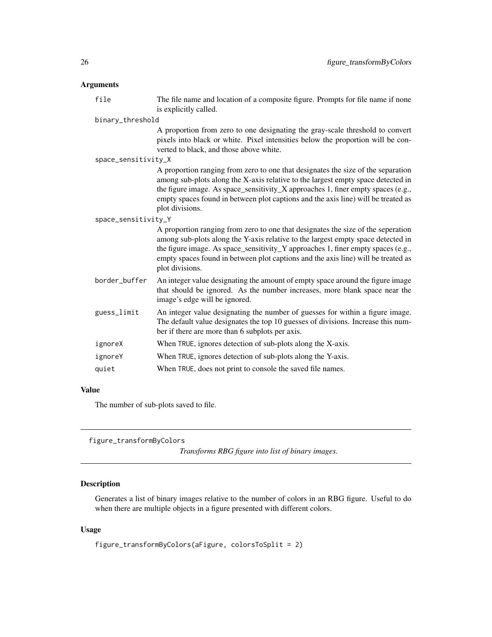<span id="page-25-0"></span>file The file name and location of a composite figure. Prompts for file name if none is explicitly called.

binary\_threshold

A proportion from zero to one designating the gray-scale threshold to convert pixels into black or white. Pixel intensities below the proportion will be converted to black, and those above white.

space\_sensitivity\_X

A proportion ranging from zero to one that designates the size of the separation among sub-plots along the X-axis relative to the largest empty space detected in the figure image. As space\_sensitivity\_X approaches 1, finer empty spaces (e.g., empty spaces found in between plot captions and the axis line) will be treated as plot divisions.

#### space\_sensitivity\_Y

A proportion ranging from zero to one that designates the size of the seperation among sub-plots along the Y-axis relative to the largest empty space detected in the figure image. As space\_sensitivity\_Y approaches 1, finer empty spaces (e.g., empty spaces found in between plot captions and the axis line) will be treated as plot divisions.

- border\_buffer An integer value designating the amount of empty space around the figure image that should be ignored. As the number increases, more blank space near the image's edge will be ignored.
- guess\_limit An integer value designating the number of guesses for within a figure image. The default value designates the top 10 guesses of divisions. Increase this number if there are more than 6 subplots per axis.
- ignoreX When TRUE, ignores detection of sub-plots along the X-axis.
- ignoreY When TRUE, ignores detection of sub-plots along the Y-axis.

quiet When TRUE, does not print to console the saved file names.

# Value

The number of sub-plots saved to file.

figure\_transformByColors

*Transforms RBG figure into list of binary images.*

#### **Description**

Generates a list of binary images relative to the number of colors in an RBG figure. Useful to do when there are multiple objects in a figure presented with different colors.

```
figure_transformByColors(aFigure, colorsToSplit = 2)
```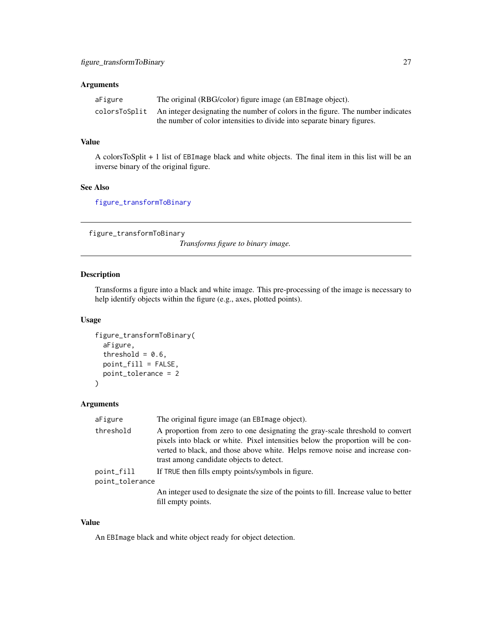<span id="page-26-0"></span>

| aFigure | The original (RBG/color) figure image (an EBI mage object).                                   |
|---------|-----------------------------------------------------------------------------------------------|
|         | colorsToSplit An integer designating the number of colors in the figure. The number indicates |
|         | the number of color intensities to divide into separate binary figures.                       |

# Value

A colorsToSplit + 1 list of EBImage black and white objects. The final item in this list will be an inverse binary of the original figure.

#### See Also

[figure\\_transformToBinary](#page-26-1)

<span id="page-26-1"></span>figure\_transformToBinary

*Transforms figure to binary image.*

#### Description

Transforms a figure into a black and white image. This pre-processing of the image is necessary to help identify objects within the figure (e.g., axes, plotted points).

#### Usage

```
figure_transformToBinary(
  aFigure,
  threshold = 0.6,
  point_fill = FALSE,
  point_tolerance = 2
)
```
#### Arguments

| aFigure         | The original figure image (an EBI mage object).                                                                                                                                                                                                                                              |
|-----------------|----------------------------------------------------------------------------------------------------------------------------------------------------------------------------------------------------------------------------------------------------------------------------------------------|
| threshold       | A proportion from zero to one designating the gray-scale threshold to convert<br>pixels into black or white. Pixel intensities below the proportion will be con-<br>verted to black, and those above white. Helps remove noise and increase con-<br>trast among candidate objects to detect. |
| point_fill      | If TRUE then fills empty points/symbols in figure.                                                                                                                                                                                                                                           |
| point_tolerance |                                                                                                                                                                                                                                                                                              |
|                 | An integer used to designate the size of the points to fill. Increase value to better<br>fill empty points.                                                                                                                                                                                  |

# Value

An EBImage black and white object ready for object detection.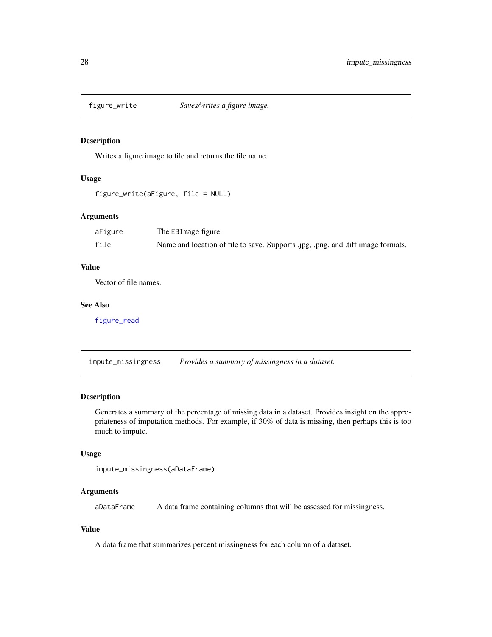<span id="page-27-1"></span><span id="page-27-0"></span>

#### Description

Writes a figure image to file and returns the file name.

#### Usage

```
figure_write(aFigure, file = NULL)
```
# Arguments

| aFigure | The EBImage figure.                                                              |
|---------|----------------------------------------------------------------------------------|
| file    | Name and location of file to save. Supports .jpg, .png, and .tiff image formats. |

#### Value

Vector of file names.

# See Also

[figure\\_read](#page-21-1)

<span id="page-27-2"></span>impute\_missingness *Provides a summary of missingness in a dataset.*

#### Description

Generates a summary of the percentage of missing data in a dataset. Provides insight on the appropriateness of imputation methods. For example, if 30% of data is missing, then perhaps this is too much to impute.

#### Usage

```
impute_missingness(aDataFrame)
```
# Arguments

aDataFrame A data.frame containing columns that will be assessed for missingness.

# Value

A data frame that summarizes percent missingness for each column of a dataset.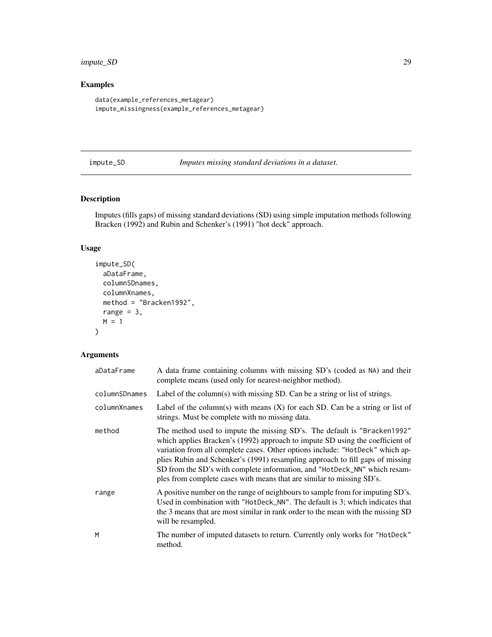# <span id="page-28-0"></span>impute\_SD 29

# Examples

```
data(example_references_metagear)
impute_missingness(example_references_metagear)
```
impute\_SD *Imputes missing standard deviations in a dataset.*

# Description

Imputes (fills gaps) of missing standard deviations (SD) using simple imputation methods following Bracken (1992) and Rubin and Schenker's (1991) "hot deck" approach.

# Usage

```
impute_SD(
  aDataFrame,
  columnSDnames,
  columnXnames,
  method = "Bracken1992",
  range = 3,
  M = 1\mathcal{L}
```
# Arguments

| aDataFrame    | A data frame containing columns with missing SD's (coded as NA) and their<br>complete means (used only for nearest-neighbor method).                                                                                                                                                                                                                                                                                                                                              |
|---------------|-----------------------------------------------------------------------------------------------------------------------------------------------------------------------------------------------------------------------------------------------------------------------------------------------------------------------------------------------------------------------------------------------------------------------------------------------------------------------------------|
| columnSDnames | Label of the column(s) with missing SD. Can be a string or list of strings.                                                                                                                                                                                                                                                                                                                                                                                                       |
| columnXnames  | Label of the column(s) with means $(X)$ for each SD. Can be a string or list of<br>strings. Must be complete with no missing data.                                                                                                                                                                                                                                                                                                                                                |
| method        | The method used to impute the missing SD's. The default is "Bracken1992"<br>which applies Bracken's (1992) approach to impute SD using the coefficient of<br>variation from all complete cases. Other options include: "HotDeck" which ap-<br>plies Rubin and Schenker's (1991) resampling approach to fill gaps of missing<br>SD from the SD's with complete information, and "HotDeck_NN" which resam-<br>ples from complete cases with means that are similar to missing SD's. |
| range         | A positive number on the range of neighbours to sample from for imputing SD's.<br>Used in combination with "HotDeck_NN". The default is 3; which indicates that<br>the 3 means that are most similar in rank order to the mean with the missing SD<br>will be resampled.                                                                                                                                                                                                          |
| M             | The number of imputed datasets to return. Currently only works for "HotDeck"<br>method.                                                                                                                                                                                                                                                                                                                                                                                           |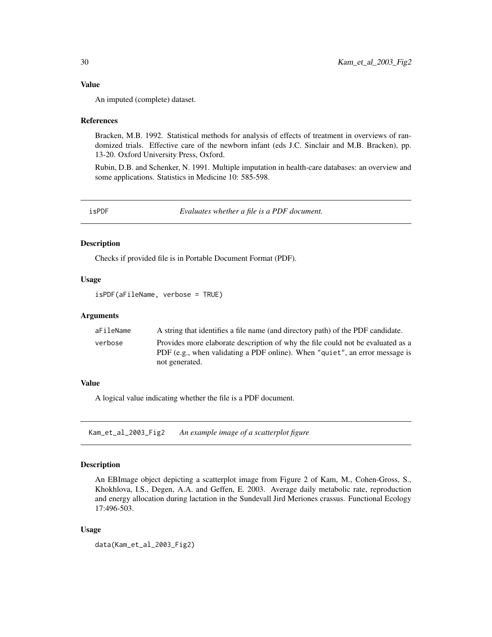#### <span id="page-29-0"></span>Value

An imputed (complete) dataset.

#### References

Bracken, M.B. 1992. Statistical methods for analysis of effects of treatment in overviews of randomized trials. Effective care of the newborn infant (eds J.C. Sinclair and M.B. Bracken), pp. 13-20. Oxford University Press, Oxford.

Rubin, D.B. and Schenker, N. 1991. Multiple imputation in health-care databases: an overview and some applications. Statistics in Medicine 10: 585-598.

isPDF *Evaluates whether a file is a PDF document.*

### Description

Checks if provided file is in Portable Document Format (PDF).

#### Usage

isPDF(aFileName, verbose = TRUE)

#### Arguments

| aFileName | A string that identifies a file name (and directory path) of the PDF candidate.                                                                                                  |
|-----------|----------------------------------------------------------------------------------------------------------------------------------------------------------------------------------|
| verbose   | Provides more elaborate description of why the file could not be evaluated as a<br>PDF (e.g., when validating a PDF online). When "quiet", an error message is<br>not generated. |

#### Value

A logical value indicating whether the file is a PDF document.

Kam\_et\_al\_2003\_Fig2 *An example image of a scatterplot figure*

# Description

An EBImage object depicting a scatterplot image from Figure 2 of Kam, M., Cohen-Gross, S., Khokhlova, I.S., Degen, A.A. and Geffen, E. 2003. Average daily metabolic rate, reproduction and energy allocation during lactation in the Sundevall Jird Meriones crassus. Functional Ecology 17:496-503.

#### Usage

data(Kam\_et\_al\_2003\_Fig2)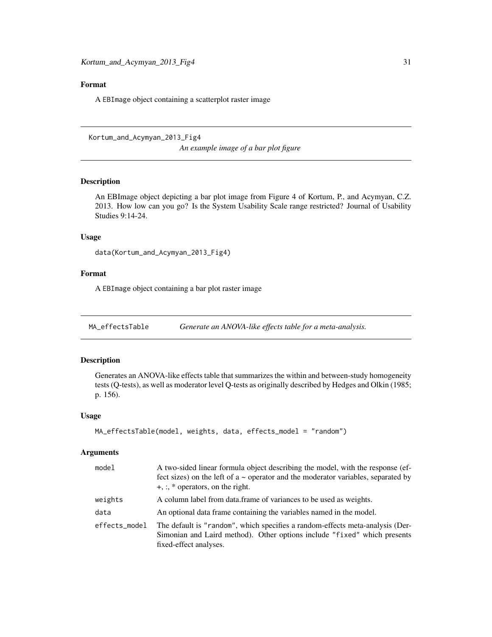### <span id="page-30-0"></span>Format

A EBImage object containing a scatterplot raster image

Kortum\_and\_Acymyan\_2013\_Fig4 *An example image of a bar plot figure*

# Description

An EBImage object depicting a bar plot image from Figure 4 of Kortum, P., and Acymyan, C.Z. 2013. How low can you go? Is the System Usability Scale range restricted? Journal of Usability Studies 9:14-24.

#### Usage

```
data(Kortum_and_Acymyan_2013_Fig4)
```
#### Format

A EBImage object containing a bar plot raster image

MA\_effectsTable *Generate an ANOVA-like effects table for a meta-analysis.*

#### Description

Generates an ANOVA-like effects table that summarizes the within and between-study homogeneity tests (Q-tests), as well as moderator level Q-tests as originally described by Hedges and Olkin (1985; p. 156).

#### Usage

```
MA_effectsTable(model, weights, data, effects_model = "random")
```
#### Arguments

| model         | A two-sided linear formula object describing the model, with the response (ef-<br>fect sizes) on the left of $a \sim$ operator and the moderator variables, separated by<br>$+, \cdot, *$ operators, on the right. |
|---------------|--------------------------------------------------------------------------------------------------------------------------------------------------------------------------------------------------------------------|
| weights       | A column label from data frame of variances to be used as weights.                                                                                                                                                 |
| data          | An optional data frame containing the variables named in the model.                                                                                                                                                |
| effects_model | The default is "random", which specifies a random-effects meta-analysis (Der-<br>Simonian and Laird method). Other options include "fixed" which presents<br>fixed-effect analyses.                                |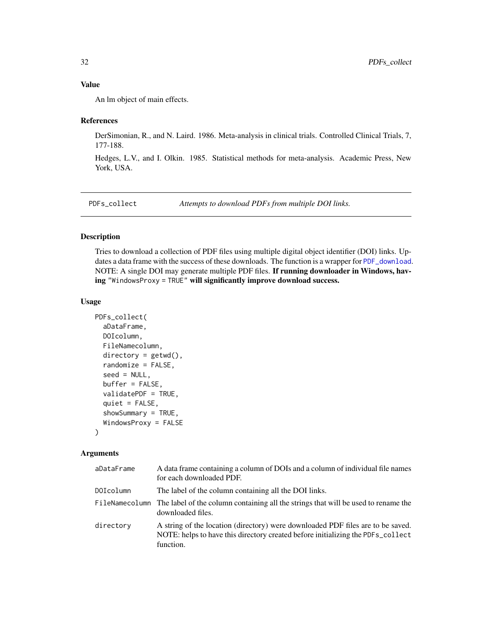# <span id="page-31-0"></span>Value

An lm object of main effects.

#### References

DerSimonian, R., and N. Laird. 1986. Meta-analysis in clinical trials. Controlled Clinical Trials, 7, 177-188.

Hedges, L.V., and I. Olkin. 1985. Statistical methods for meta-analysis. Academic Press, New York, USA.

<span id="page-31-1"></span>PDFs\_collect *Attempts to download PDFs from multiple DOI links.*

#### Description

Tries to download a collection of PDF files using multiple digital object identifier (DOI) links. Updates a data frame with the success of these downloads. The function is a wrapper for [PDF\\_download](#page-32-1). NOTE: A single DOI may generate multiple PDF files. If running downloader in Windows, having "WindowsProxy = TRUE" will significantly improve download success.

#### Usage

```
PDFs_collect(
  aDataFrame,
  DOIcolumn,
  FileNamecolumn,
  directory = getwd(),
  randomize = FALSE,seed = NULL,
  buffer = FALSE,
  validatePDF = TRUE,
  quiet = FALSE,showSummary = TRUE,
  WindowsProxy = FALSE
)
```
#### Arguments

| aDataFrame       | A data frame containing a column of DOIs and a column of individual file names<br>for each downloaded PDF.                                                                      |
|------------------|---------------------------------------------------------------------------------------------------------------------------------------------------------------------------------|
| <b>DOIcolumn</b> | The label of the column containing all the DOI links.                                                                                                                           |
|                  | FileNamecolumn The label of the column containing all the strings that will be used to rename the<br>downloaded files.                                                          |
| directory        | A string of the location (directory) were downloaded PDF files are to be saved.<br>NOTE: helps to have this directory created before initializing the PDFs_collect<br>function. |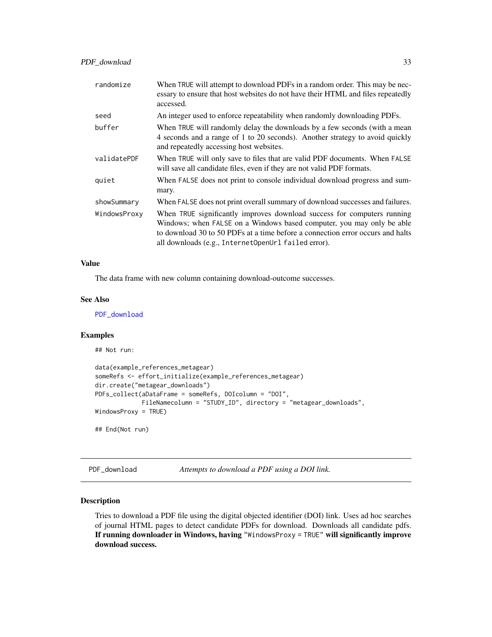<span id="page-32-0"></span>

| randomize    | When TRUE will attempt to download PDFs in a random order. This may be nec-<br>essary to ensure that host websites do not have their HTML and files repeatedly<br>accessed.                                                                                                               |
|--------------|-------------------------------------------------------------------------------------------------------------------------------------------------------------------------------------------------------------------------------------------------------------------------------------------|
| seed         | An integer used to enforce repeatability when randomly downloading PDFs.                                                                                                                                                                                                                  |
| buffer       | When TRUE will randomly delay the downloads by a few seconds (with a mean<br>4 seconds and a range of 1 to 20 seconds). Another strategy to avoid quickly<br>and repeatedly accessing host websites.                                                                                      |
| validatePDF  | When TRUE will only save to files that are valid PDF documents. When FALSE<br>will save all candidate files, even if they are not valid PDF formats.                                                                                                                                      |
| quiet        | When FALSE does not print to console individual download progress and sum-<br>mary.                                                                                                                                                                                                       |
| showSummary  | When FALSE does not print overall summary of download successes and failures.                                                                                                                                                                                                             |
| WindowsProxy | When TRUE significantly improves download success for computers running<br>Windows; when FALSE on a Windows based computer, you may only be able<br>to download 30 to 50 PDFs at a time before a connection error occurs and halts<br>all downloads (e.g., InternetOpenUrl failed error). |

#### Value

The data frame with new column containing download-outcome successes.

#### See Also

[PDF\\_download](#page-32-1)

#### Examples

## Not run:

```
data(example_references_metagear)
someRefs <- effort_initialize(example_references_metagear)
dir.create("metagear_downloads")
PDFs_collect(aDataFrame = someRefs, DOIcolumn = "DOI",
             FileNamecolumn = "STUDY_ID", directory = "metagear_downloads",
WindowsProxy = TRUE)
## End(Not run)
```
<span id="page-32-1"></span>PDF\_download *Attempts to download a PDF using a DOI link.*

#### Description

Tries to download a PDF file using the digital objected identifier (DOI) link. Uses ad hoc searches of journal HTML pages to detect candidate PDFs for download. Downloads all candidate pdfs. If running downloader in Windows, having "WindowsProxy = TRUE" will significantly improve download success.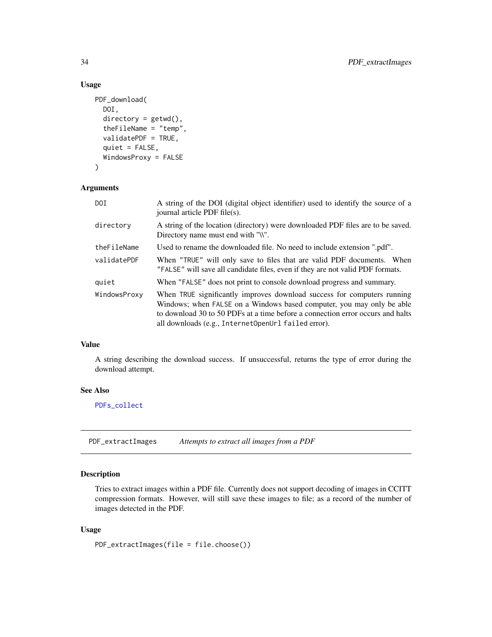# Usage

```
PDF_download(
 DOI,
  directory = getwd(),
  theFileName = "temp",
  validatePDF = TRUE,
  quiet = FALSE,
  WindowsProxy = FALSE
)
```
#### Arguments

| DOI          | A string of the DOI (digital object identifier) used to identify the source of a<br>journal article PDF file(s).                                                                                                                                                                          |
|--------------|-------------------------------------------------------------------------------------------------------------------------------------------------------------------------------------------------------------------------------------------------------------------------------------------|
| directory    | A string of the location (directory) were downloaded PDF files are to be saved.<br>Directory name must end with "\\".                                                                                                                                                                     |
| theFileName  | Used to rename the downloaded file. No need to include extension ".pdf".                                                                                                                                                                                                                  |
| validatePDF  | When "TRUE" will only save to files that are valid PDF documents. When<br>"FALSE" will save all candidate files, even if they are not valid PDF formats.                                                                                                                                  |
| quiet        | When "FALSE" does not print to console download progress and summary.                                                                                                                                                                                                                     |
| WindowsProxy | When TRUE significantly improves download success for computers running<br>Windows; when FALSE on a Windows based computer, you may only be able<br>to download 30 to 50 PDFs at a time before a connection error occurs and halts<br>all downloads (e.g., InternetOpenUrl failed error). |

# Value

A string describing the download success. If unsuccessful, returns the type of error during the download attempt.

#### See Also

[PDFs\\_collect](#page-31-1)

PDF\_extractImages *Attempts to extract all images from a PDF*

# Description

Tries to extract images within a PDF file. Currently does not support decoding of images in CCITT compression formats. However, will still save these images to file; as a record of the number of images detected in the PDF.

#### Usage

PDF\_extractImages(file = file.choose())

<span id="page-33-0"></span>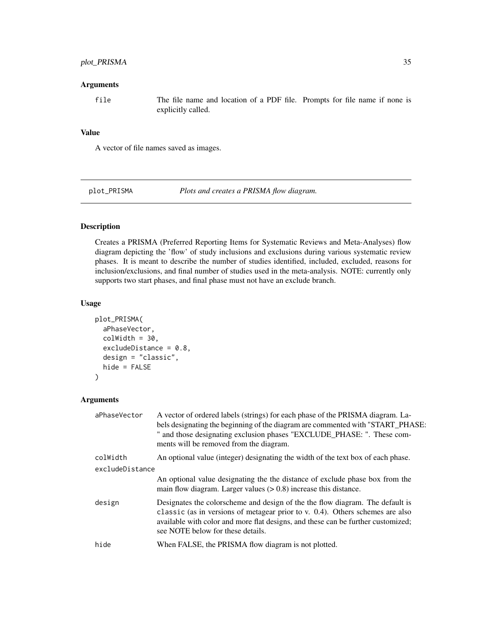# <span id="page-34-0"></span>plot\_PRISMA 35

#### **Arguments**

file The file name and location of a PDF file. Prompts for file name if none is explicitly called.

# Value

A vector of file names saved as images.

plot\_PRISMA *Plots and creates a PRISMA flow diagram.*

# Description

Creates a PRISMA (Preferred Reporting Items for Systematic Reviews and Meta-Analyses) flow diagram depicting the 'flow' of study inclusions and exclusions during various systematic review phases. It is meant to describe the number of studies identified, included, excluded, reasons for inclusion/exclusions, and final number of studies used in the meta-analysis. NOTE: currently only supports two start phases, and final phase must not have an exclude branch.

#### Usage

```
plot_PRISMA(
  aPhaseVector,
  colWidth = 30,excludeDistance = 0.8,
  design = "classic",
  hide = FALSE
\mathcal{L}
```
# Arguments

| " and those designating exclusion phases "EXCLUDE_PHASE: ". These com-                                                                                                                                                                             |
|----------------------------------------------------------------------------------------------------------------------------------------------------------------------------------------------------------------------------------------------------|
| An optional value (integer) designating the width of the text box of each phase.                                                                                                                                                                   |
|                                                                                                                                                                                                                                                    |
| An optional value designating the the distance of exclude phase box from the                                                                                                                                                                       |
| Designates the colorscheme and design of the the flow diagram. The default is<br>classic (as in versions of metagear prior to v. 0.4). Others schemes are also<br>available with color and more flat designs, and these can be further customized; |
|                                                                                                                                                                                                                                                    |
|                                                                                                                                                                                                                                                    |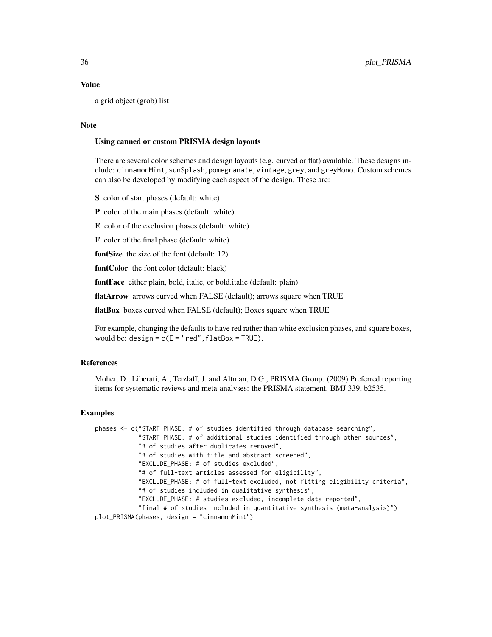#### Value

a grid object (grob) list

#### Note

#### Using canned or custom PRISMA design layouts

There are several color schemes and design layouts (e.g. curved or flat) available. These designs include: cinnamonMint, sunSplash, pomegranate, vintage, grey, and greyMono. Custom schemes can also be developed by modifying each aspect of the design. These are:

S color of start phases (default: white)

P color of the main phases (default: white)

E color of the exclusion phases (default: white)

F color of the final phase (default: white)

fontSize the size of the font (default: 12)

fontColor the font color (default: black)

fontFace either plain, bold, italic, or bold.italic (default: plain)

flatArrow arrows curved when FALSE (default); arrows square when TRUE

flatBox boxes curved when FALSE (default); Boxes square when TRUE

For example, changing the defaults to have red rather than white exclusion phases, and square boxes, would be: design =  $c(E = "red", flatBox = TRUE)$ .

#### References

Moher, D., Liberati, A., Tetzlaff, J. and Altman, D.G., PRISMA Group. (2009) Preferred reporting items for systematic reviews and meta-analyses: the PRISMA statement. BMJ 339, b2535.

#### **Examples**

```
phases <- c("START_PHASE: # of studies identified through database searching",
            "START_PHASE: # of additional studies identified through other sources",
            "# of studies after duplicates removed",
            "# of studies with title and abstract screened",
           "EXCLUDE_PHASE: # of studies excluded",
           "# of full-text articles assessed for eligibility",
           "EXCLUDE_PHASE: # of full-text excluded, not fitting eligibility criteria",
           "# of studies included in qualitative synthesis",
           "EXCLUDE_PHASE: # studies excluded, incomplete data reported",
           "final # of studies included in quantitative synthesis (meta-analysis)")
plot_PRISMA(phases, design = "cinnamonMint")
```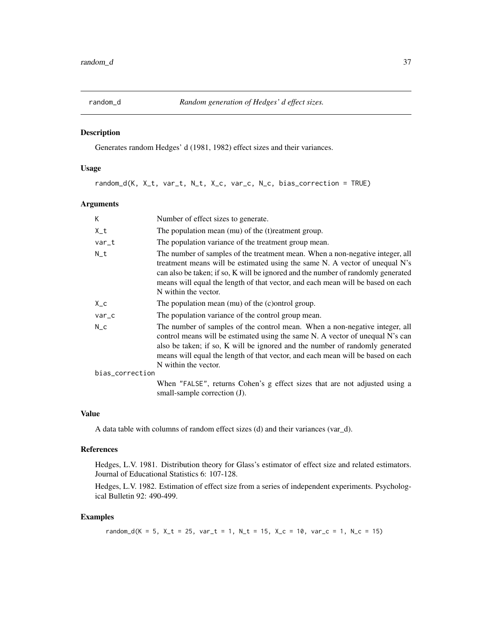<span id="page-36-0"></span>

# Description

Generates random Hedges' d (1981, 1982) effect sizes and their variances.

# Usage

random\_d(K, X\_t, var\_t, N\_t, X\_c, var\_c, N\_c, bias\_correction = TRUE)

#### Arguments

| K               | Number of effect sizes to generate.                                                                                                                                                                                                                                                                                                                         |
|-----------------|-------------------------------------------------------------------------------------------------------------------------------------------------------------------------------------------------------------------------------------------------------------------------------------------------------------------------------------------------------------|
| $X_t$           | The population mean (mu) of the (t) reatment group.                                                                                                                                                                                                                                                                                                         |
| var_t           | The population variance of the treatment group mean.                                                                                                                                                                                                                                                                                                        |
| $N_t$           | The number of samples of the treatment mean. When a non-negative integer, all<br>treatment means will be estimated using the same N. A vector of unequal N's<br>can also be taken; if so, K will be ignored and the number of randomly generated<br>means will equal the length of that vector, and each mean will be based on each<br>N within the vector. |
| $X_{-}c$        | The population mean (mu) of the (c) ontrol group.                                                                                                                                                                                                                                                                                                           |
| var_c           | The population variance of the control group mean.                                                                                                                                                                                                                                                                                                          |
| $N_{C}$         | The number of samples of the control mean. When a non-negative integer, all<br>control means will be estimated using the same N. A vector of unequal N's can<br>also be taken; if so, K will be ignored and the number of randomly generated<br>means will equal the length of that vector, and each mean will be based on each<br>N within the vector.     |
| bias_correction |                                                                                                                                                                                                                                                                                                                                                             |
|                 | When "FALSE", returns Cohen's g effect sizes that are not adjusted using a<br>small-sample correction (J).                                                                                                                                                                                                                                                  |

#### Value

A data table with columns of random effect sizes (d) and their variances (var\_d).

#### References

Hedges, L.V. 1981. Distribution theory for Glass's estimator of effect size and related estimators. Journal of Educational Statistics 6: 107-128.

Hedges, L.V. 1982. Estimation of effect size from a series of independent experiments. Psychological Bulletin 92: 490-499.

# Examples

random\_d(K = 5, X\_t = 25, var\_t = 1, N\_t = 15, X\_c = 10, var\_c = 1, N\_c = 15)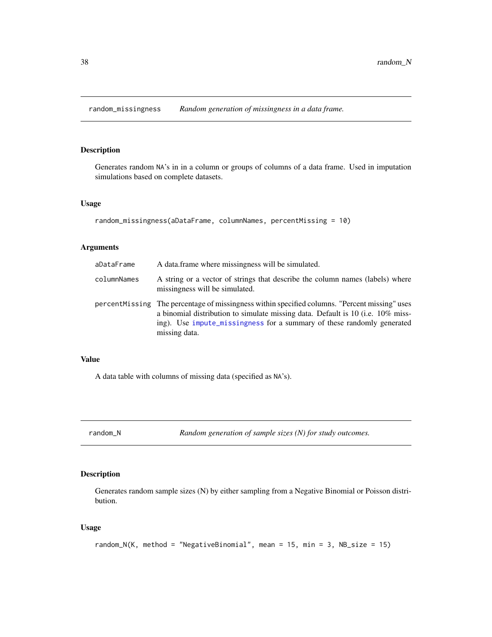<span id="page-37-0"></span>random\_missingness *Random generation of missingness in a data frame.*

# Description

Generates random NA's in in a column or groups of columns of a data frame. Used in imputation simulations based on complete datasets.

#### Usage

```
random_missingness(aDataFrame, columnNames, percentMissing = 10)
```
# Arguments

| aDataFrame  | A data frame where missingness will be simulated.                                                                                                                                                                                                                            |
|-------------|------------------------------------------------------------------------------------------------------------------------------------------------------------------------------------------------------------------------------------------------------------------------------|
| columnNames | A string or a vector of strings that describe the column names (labels) where<br>missingness will be simulated.                                                                                                                                                              |
|             | percent Missing The percentage of missingness within specified columns. "Percent missing" uses<br>a binomial distribution to simulate missing data. Default is 10 (i.e. 10% miss-<br>ing). Use impute missingness for a summary of these randomly generated<br>missing data. |

#### Value

A data table with columns of missing data (specified as NA's).

random\_N *Random generation of sample sizes (N) for study outcomes.*

# Description

Generates random sample sizes (N) by either sampling from a Negative Binomial or Poisson distribution.

```
random_N(K, method = "NegativeBinomial", mean = 15, min = 3, NB_size = 15)
```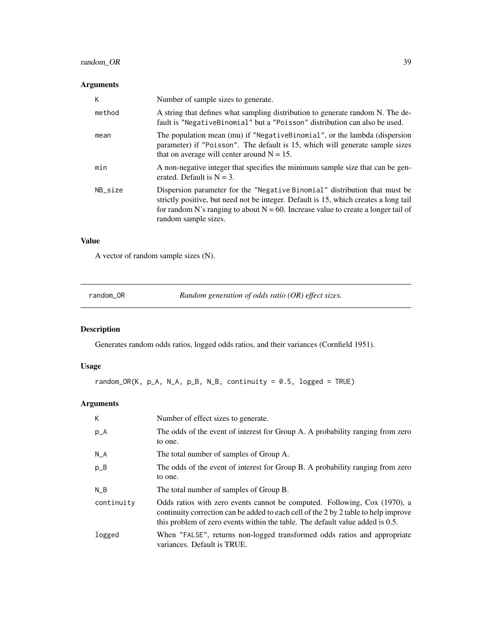# <span id="page-38-0"></span>random\_OR 39

# Arguments

| К       | Number of sample sizes to generate.                                                                                                                                                                                                                                                |
|---------|------------------------------------------------------------------------------------------------------------------------------------------------------------------------------------------------------------------------------------------------------------------------------------|
| method  | A string that defines what sampling distribution to generate random N. The de-<br>fault is "NegativeBinomial" but a "Poisson" distribution can also be used.                                                                                                                       |
| mean    | The population mean (mu) if "NegativeBinomial", or the lambda (dispersion<br>parameter) if "Poisson". The default is 15, which will generate sample sizes<br>that on average will center around $N = 15$ .                                                                         |
| min     | A non-negative integer that specifies the minimum sample size that can be gen-<br>erated. Default is $N = 3$ .                                                                                                                                                                     |
| NB size | Dispersion parameter for the "Negative Binomial" distribution that must be<br>strictly positive, but need not be integer. Default is 15, which creates a long tail<br>for random N's ranging to about $N = 60$ . Increase value to create a longer tail of<br>random sample sizes. |

# Value

A vector of random sample sizes (N).

| random OR | Random generation of odds ratio $(OR)$ effect sizes. |
|-----------|------------------------------------------------------|
|-----------|------------------------------------------------------|

# Description

Generates random odds ratios, logged odds ratios, and their variances (Cornfield 1951).

# Usage

```
random_OR(K, p_A, N_A, p_B, N_B, continuity = 0.5, logged = TRUE)
```
# Arguments

| К          | Number of effect sizes to generate.                                                                                                                                                                                                               |
|------------|---------------------------------------------------------------------------------------------------------------------------------------------------------------------------------------------------------------------------------------------------|
| $p_A$      | The odds of the event of interest for Group A. A probability ranging from zero<br>to one.                                                                                                                                                         |
| $N_A$      | The total number of samples of Group A.                                                                                                                                                                                                           |
| $p_B$      | The odds of the event of interest for Group B. A probability ranging from zero<br>to one.                                                                                                                                                         |
| N B        | The total number of samples of Group B.                                                                                                                                                                                                           |
| continuity | Odds ratios with zero events cannot be computed. Following, Cox (1970), a<br>continuity correction can be added to each cell of the 2 by 2 table to help improve<br>this problem of zero events within the table. The default value added is 0.5. |
| logged     | When "FALSE", returns non-logged transformed odds ratios and appropriate<br>variances. Default is TRUE.                                                                                                                                           |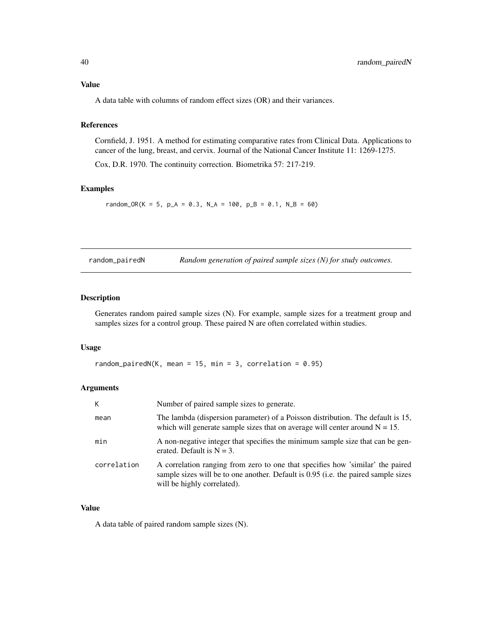# <span id="page-39-0"></span>Value

A data table with columns of random effect sizes (OR) and their variances.

# References

Cornfield, J. 1951. A method for estimating comparative rates from Clinical Data. Applications to cancer of the lung, breast, and cervix. Journal of the National Cancer Institute 11: 1269-1275.

Cox, D.R. 1970. The continuity correction. Biometrika 57: 217-219.

#### Examples

random\_OR(K = 5, p\_A = 0.3, N\_A = 100, p\_B = 0.1, N\_B = 60)

| random_pairedN | Random generation of paired sample sizes $(N)$ for study outcomes. |  |  |  |
|----------------|--------------------------------------------------------------------|--|--|--|
|                |                                                                    |  |  |  |

#### Description

Generates random paired sample sizes (N). For example, sample sizes for a treatment group and samples sizes for a control group. These paired N are often correlated within studies.

#### Usage

```
random_pairedN(K, mean = 15, min = 3, correlation = 0.95)
```
#### Arguments

| К           | Number of paired sample sizes to generate.                                                                                                                                                          |
|-------------|-----------------------------------------------------------------------------------------------------------------------------------------------------------------------------------------------------|
| mean        | The lambda (dispersion parameter) of a Poisson distribution. The default is 15,<br>which will generate sample sizes that on average will center around $N = 15$ .                                   |
| min         | A non-negative integer that specifies the minimum sample size that can be gen-<br>erated. Default is $N = 3$ .                                                                                      |
| correlation | A correlation ranging from zero to one that specifies how 'similar' the paired<br>sample sizes will be to one another. Default is 0.95 (i.e. the paired sample sizes<br>will be highly correlated). |

# Value

A data table of paired random sample sizes (N).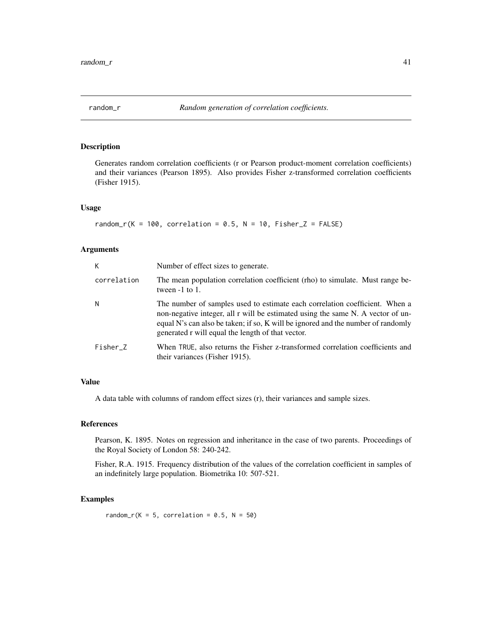<span id="page-40-0"></span>

# Description

Generates random correlation coefficients (r or Pearson product-moment correlation coefficients) and their variances (Pearson 1895). Also provides Fisher z-transformed correlation coefficients (Fisher 1915).

#### Usage

```
random_r(K = 100, correlation = 0.5, N = 10, Fisher_Z = FALSE)
```
#### Arguments

| К           | Number of effect sizes to generate.                                                                                                                                                                                                                                                                     |
|-------------|---------------------------------------------------------------------------------------------------------------------------------------------------------------------------------------------------------------------------------------------------------------------------------------------------------|
| correlation | The mean population correlation coefficient (rho) to simulate. Must range be-<br>tween $-1$ to 1.                                                                                                                                                                                                       |
| N           | The number of samples used to estimate each correlation coefficient. When a<br>non-negative integer, all r will be estimated using the same N. A vector of un-<br>equal N's can also be taken; if so, K will be ignored and the number of randomly<br>generated r will equal the length of that vector. |
| Fisher Z    | When TRUE, also returns the Fisher z-transformed correlation coefficients and<br>their variances (Fisher 1915).                                                                                                                                                                                         |

#### Value

A data table with columns of random effect sizes (r), their variances and sample sizes.

#### References

Pearson, K. 1895. Notes on regression and inheritance in the case of two parents. Proceedings of the Royal Society of London 58: 240-242.

Fisher, R.A. 1915. Frequency distribution of the values of the correlation coefficient in samples of an indefinitely large population. Biometrika 10: 507-521.

#### Examples

random\_r(K = 5, correlation =  $0.5$ , N = 50)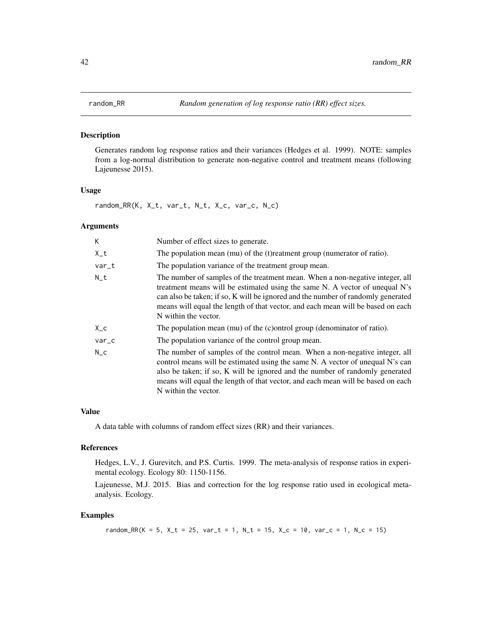#### <span id="page-41-0"></span>Description

Generates random log response ratios and their variances (Hedges et al. 1999). NOTE: samples from a log-normal distribution to generate non-negative control and treatment means (following Lajeunesse 2015).

#### Usage

random\_RR(K, X\_t, var\_t, N\_t, X\_c, var\_c, N\_c)

#### Arguments

| K.      | Number of effect sizes to generate.                                                                                                                                                                                                                                                                                                                         |
|---------|-------------------------------------------------------------------------------------------------------------------------------------------------------------------------------------------------------------------------------------------------------------------------------------------------------------------------------------------------------------|
| X_t     | The population mean (mu) of the (t) reatment group (numerator of ratio).                                                                                                                                                                                                                                                                                    |
| var_t   | The population variance of the treatment group mean.                                                                                                                                                                                                                                                                                                        |
| $N_t$   | The number of samples of the treatment mean. When a non-negative integer, all<br>treatment means will be estimated using the same N. A vector of unequal N's<br>can also be taken; if so, K will be ignored and the number of randomly generated<br>means will equal the length of that vector, and each mean will be based on each<br>N within the vector. |
| X_c     | The population mean $(mu)$ of the $(c)$ ontrol group (denominator of ratio).                                                                                                                                                                                                                                                                                |
| var_c   | The population variance of the control group mean.                                                                                                                                                                                                                                                                                                          |
| $N_{C}$ | The number of samples of the control mean. When a non-negative integer, all<br>control means will be estimated using the same N. A vector of unequal N's can<br>also be taken; if so, K will be ignored and the number of randomly generated<br>means will equal the length of that vector, and each mean will be based on each<br>N within the vector.     |

#### Value

A data table with columns of random effect sizes (RR) and their variances.

#### References

Hedges, L.V., J. Gurevitch, and P.S. Curtis. 1999. The meta-analysis of response ratios in experimental ecology. Ecology 80: 1150-1156.

Lajeunesse, M.J. 2015. Bias and correction for the log response ratio used in ecological metaanalysis. Ecology.

#### Examples

random\_RR(K = 5, X\_t = 25, var\_t = 1, N\_t = 15, X\_c = 10, var\_c = 1, N\_c = 15)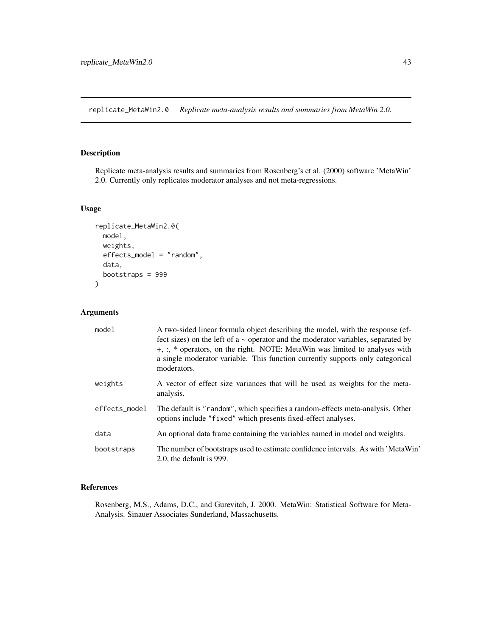<span id="page-42-0"></span>replicate\_MetaWin2.0 *Replicate meta-analysis results and summaries from MetaWin 2.0.*

# Description

Replicate meta-analysis results and summaries from Rosenberg's et al. (2000) software 'MetaWin' 2.0. Currently only replicates moderator analyses and not meta-regressions.

#### Usage

```
replicate_MetaWin2.0(
 model,
 weights,
  effects_model = "random",
  data,
  bootstraps = 999
\mathcal{L}
```
# Arguments

| model         | A two-sided linear formula object describing the model, with the response (ef-<br>fect sizes) on the left of $a \sim$ operator and the moderator variables, separated by<br>+, :, * operators, on the right. NOTE: MetaWin was limited to analyses with<br>a single moderator variable. This function currently supports only categorical<br>moderators. |
|---------------|----------------------------------------------------------------------------------------------------------------------------------------------------------------------------------------------------------------------------------------------------------------------------------------------------------------------------------------------------------|
| weights       | A vector of effect size variances that will be used as weights for the meta-<br>analysis.                                                                                                                                                                                                                                                                |
| effects_model | The default is "random", which specifies a random-effects meta-analysis. Other<br>options include "fixed" which presents fixed-effect analyses.                                                                                                                                                                                                          |
| data          | An optional data frame containing the variables named in model and weights.                                                                                                                                                                                                                                                                              |
| bootstraps    | The number of bootstraps used to estimate confidence intervals. As with 'MetaWin'<br>2.0, the default is 999.                                                                                                                                                                                                                                            |

#### References

Rosenberg, M.S., Adams, D.C., and Gurevitch, J. 2000. MetaWin: Statistical Software for Meta-Analysis. Sinauer Associates Sunderland, Massachusetts.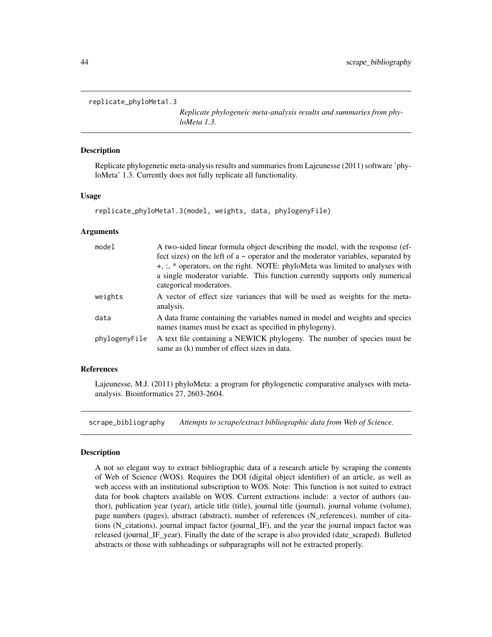#### <span id="page-43-0"></span>replicate\_phyloMeta1.3

*Replicate phylogeneic meta-analysis results and summaries from phyloMeta 1.3.*

#### Description

Replicate phylogenetic meta-analysis results and summaries from Lajeunesse (2011) software 'phyloMeta' 1.3. Currently does not fully replicate all functionality.

#### Usage

```
replicate_phyloMeta1.3(model, weights, data, phylogenyFile)
```
#### Arguments

| model         | A two-sided linear formula object describing the model, with the response (ef-<br>fect sizes) on the left of $a \sim$ operator and the moderator variables, separated by<br>+, :, * operators, on the right. NOTE: phyloMeta was limited to analyses with<br>a single moderator variable. This function currently supports only numerical<br>categorical moderators. |
|---------------|----------------------------------------------------------------------------------------------------------------------------------------------------------------------------------------------------------------------------------------------------------------------------------------------------------------------------------------------------------------------|
| weights       | A vector of effect size variances that will be used as weights for the meta-<br>analysis.                                                                                                                                                                                                                                                                            |
| data          | A data frame containing the variables named in model and weights and species<br>names (names must be exact as specified in phylogeny).                                                                                                                                                                                                                               |
| phylogenyFile | A text file containing a NEWICK phylogeny. The number of species must be<br>same as (k) number of effect sizes in data.                                                                                                                                                                                                                                              |

#### References

Lajeunesse, M.J. (2011) phyloMeta: a program for phylogenetic comparative analyses with metaanalysis. Bioinformatics 27, 2603-2604.

scrape\_bibliography *Attempts to scrape/extract bibliographic data from Web of Science.*

#### Description

A not so elegant way to extract bibliographic data of a research article by scraping the contents of Web of Science (WOS). Requires the DOI (digital object identifier) of an article, as well as web access with an institutional subscription to WOS. Note: This function is not suited to extract data for book chapters available on WOS. Current extractions include: a vector of authors (author), publication year (year), article title (title), journal title (journal), journal volume (volume), page numbers (pages), abstract (abstract), number of references (N\_references), number of citations (N\_citations), journal impact factor (journal\_IF), and the year the journal impact factor was released (journal IF year). Finally the date of the scrape is also provided (date scraped). Bulleted abstracts or those with subheadings or subparagraphs will not be extracted properly.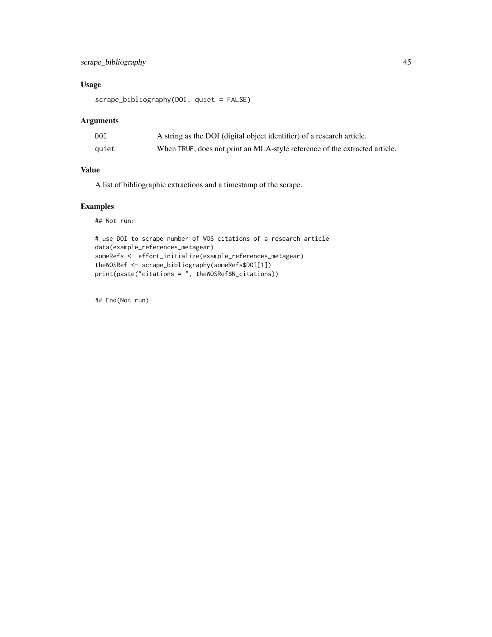# scrape\_bibliography 45

# Usage

scrape\_bibliography(DOI, quiet = FALSE)

# Arguments

| DOI   | A string as the DOI (digital object identifier) of a research article.     |
|-------|----------------------------------------------------------------------------|
| quiet | When TRUE, does not print an MLA-style reference of the extracted article. |

#### Value

A list of bibliographic extractions and a timestamp of the scrape.

# Examples

## Not run:

```
# use DOI to scrape number of WOS citations of a research article
data(example_references_metagear)
someRefs <- effort_initialize(example_references_metagear)
theWOSRef <- scrape_bibliography(someRefs$DOI[1])
print(paste("citations = ", theWOSRef$N_citations))
```
## End(Not run)